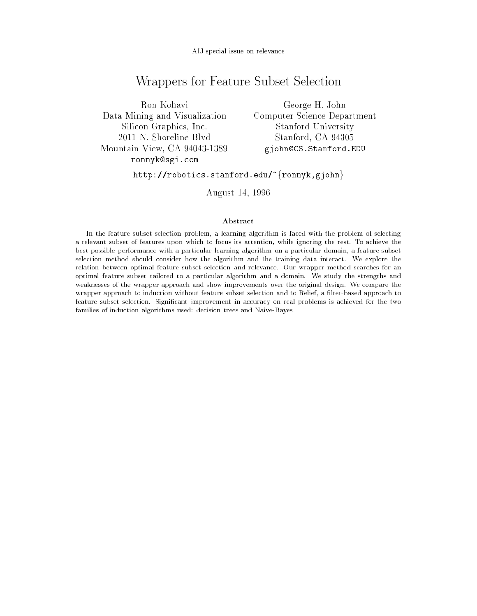AIJ special issue on relevance

# Wrappers for Feature Subset Selection

Ron Kohavi Data Mining and Visualization Silicon Graphics, Inc. 2011 N. Shoreline Blvd Mountain View, CA 94043-1389

ronnyk@sgi.com

George H. John Computer Science Department Stanford University Stanford, CA 94305 gjohn@CS.Stanford.EDU

http://robotics.stanford.edu/~{ronnyk,gjohn}

August 14, 1996

## Abstract

In the feature subset selection problem, a learning algorithm is faced with the problem of selecting a relevant subset of features upon which to focus its attention, while ignoring the rest. To achieve the best possible performance with a particular learning algorithm on a particular domain, a feature subset selection method should consider how the algorithm and the training data interact. We explore the relation between optimal feature subset selection and relevance. Our wrapper method searches for an optimal feature subset tailored to a particular algorithm and a domain. We study the strengths and weaknesses of the wrapper approach and show improvements over the original design. We compare the wrapper approach to induction without feature subset selection and to Relief, a filter-based approach to feature subset selection. Signicant improvement in accuracy on real problems is achieved for the two families of induction algorithms used: decision trees and Naive-Bayes.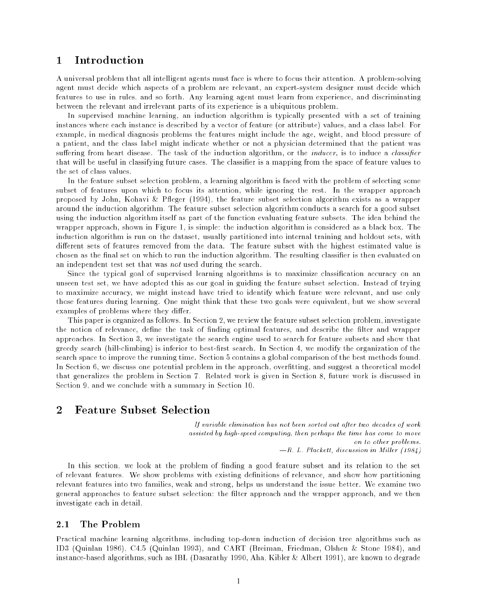### Introduction  $\mathbf 1$

A universal problem that all intelligent agents must face is where to focus their attention. A problem-solving agent must decide which aspects of a problem are relevant, an expert-system designer must decide which features to use in rules, and so forth. Any learning agent must learn from experience, and discriminating between the relevant and irrelevant parts of its experience is a ubiquitous problem.

In supervised machine learning, an induction algorithm is typically presented with a set of training instances where each instance is described by a vector of feature (or attribute) values, and a class label. For example, in medical diagnosis problems the features might include the age, weight, and blood pressure of a patient, and the class label might indicate whether or not a physician determined that the patient was suffering from heart disease. The task of the induction algorithm, or the *inducer*, is to induce a *classifier* that will be useful in classifying future cases. The classier is a mapping from the space of feature values to the set of class values.

In the feature subset selection problem, a learning algorithm is faced with the problem of selecting some subset of features upon which to focus its attention, while ignoring the rest. In the wrapper approach proposed by John, Kohavi & P
eger (1994), the feature subset selection algorithm exists as a wrapper around the induction algorithm. The feature subset selection algorithm conducts a search for a good subset using the induction algorithm itself as part of the function evaluating feature subsets. The idea behind the wrapper approach, shown in Figure 1, is simple: the induction algorithm is considered as a black box. The induction algorithm is run on the dataset, usually partitioned into internal training and holdout sets, with different sets of features removed from the data. The feature subset with the highest estimated value is chosen as the final set on which to run the induction algorithm. The resulting classifier is then evaluated on an independent test set that was not used during the search.

Since the typical goal of supervised learning algorithms is to maximize classification accuracy on an unseen test set, we have adopted this as our goal in guiding the feature subset selection. Instead of trying to maximize accuracy, we might instead have tried to identify which feature were relevant, and use only those features during learning. One might think that these two goals were equivalent, but we show several examples of problems where they differ.

This paper is organized as follows. In Section 2, we review the feature subset selection problem, investigate the notion of relevance, define the task of finding optimal features, and describe the filter and wrapper approaches. In Section 3, we investigate the search engine used to search for feature subsets and show that greedy search (hill-climbing) is inferior to best-first search. In Section 4, we modify the organization of the search space to improve the running time. Section 5 contains a global comparison of the best methods found. In Section 6, we discuss one potential problem in the approach, overfitting, and suggest a theoretical model that generalizes the problem in Section 7. Related work is given in Section 8, future work is discussed in Section 9, and we conclude with a summary in Section 10.

#### $\overline{2}$  Feature Subset Selection  $\sim$

If variable elimination has not been sorted out after two decades of work assisted by high-speed computing, then perhaps the time has come to move on to other problems.  $-R. L. Plackett,$  discussion in Miller (1984)

In this section, we look at the problem of finding a good feature subset and its relation to the set of relevant features. We show problems with existing definitions of relevance, and show how partitioning relevant features into two families, weak and strong, helps us understand the issue better. We examine two general approaches to feature subset selection: the filter approach and the wrapper approach, and we then investigate each in detail.

## 2.1 The Problem

Practical machine learning algorithms, including top-down induction of decision tree algorithms such as ID3 (Quinlan 1986), C4.5 (Quinlan 1993), and CART (Breiman, Friedman, Olshen & Stone 1984), and instance-based algorithms, such as IBL (Dasarathy 1990, Aha, Kibler & Albert 1991), are known to degrade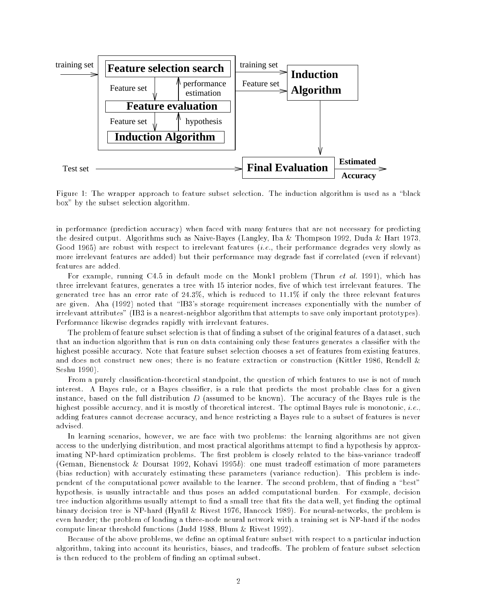

Figure 1: The wrapper approach to feature subset selection. The induction algorithm is used as a "black box" by the subset selection algorithm.

in performance (prediction accuracy) when faced with many features that are not necessary for predicting the desired output. Algorithms such as Naive-Bayes (Langley, Iba & Thompson 1992, Duda & Hart 1973, Good 1965) are robust with respect to irrelevant features (*i.e.*, their performance degrades very slowly as more irrelevant features are added) but their performance may degrade fast if correlated (even if relevant) features are added.

For example, running C4.5 in default mode on the Monk1 problem (Thrun et al. 1991), which has three irrelevant features, generates a tree with 15 interior nodes, five of which test irrelevant features. The generated tree has an error rate of 24.3%, which is reduced to 11.1% if only the three relevant features are given. Aha (1992) noted that "IB3's storage requirement increases exponentially with the number of irrelevant attributes" (IB3 is a nearest-neighbor algorithm that attempts to save only important prototypes). Performance likewise degrades rapidly with irrelevant features.

The problem of feature subset selection is that of finding a subset of the original features of a dataset, such that an induction algorithm that is run on data containing only these features generates a classifier with the highest possible accuracy. Note that feature subset selection chooses a set of features from existing features, and does not construct new ones; there is no feature extraction or construction (Kittler 1986, Rendell & Seshu 1990).

From a purely classication-theoretical standpoint, the question of which features to use is not of much interest. A Bayes rule, or a Bayes classifier, is a rule that predicts the most probable class for a given instance, based on the full distribution  $D$  (assumed to be known). The accuracy of the Bayes rule is the highest possible accuracy, and it is mostly of theoretical interest. The optimal Bayes rule is monotonic, *i.e.*, adding features cannot decrease accuracy, and hence restricting a Bayes rule to a subset of features is never advised.

In learning scenarios, however, we are face with two problems: the learning algorithms are not given access to the underlying distribution, and most practical algorithms attempt to find a hypothesis by approximating NP-hard optimization problems. The first problem is closely related to the bias-variance tradeoff (Geman, Bienenstock & Doursat 1992, Kohavi 1995b): one must tradeoff estimation of more parameters (bias reduction) with accurately estimating these parameters (variance reduction). This problem is independent of the computational power available to the learner. The second problem, that of finding a "best" hypothesis, is usually intractable and thus poses an added computational burden. For example, decision tree induction algorithms usually attempt to find a small tree that fits the data well, yet finding the optimal binary decision tree is NP-hard (Hyafil & Rivest 1976, Hancock 1989). For neural-networks, the problem is even harder; the problem of loading a three-node neural network with a training set is NP-hard if the nodes compute linear threshold functions (Judd 1988, Blum & Rivest 1992).

Because of the above problems, we define an optimal feature subset with respect to a particular induction algorithm, taking into account its heuristics, biases, and tradeoffs. The problem of feature subset selection is then reduced to the problem of nding an optimal subset.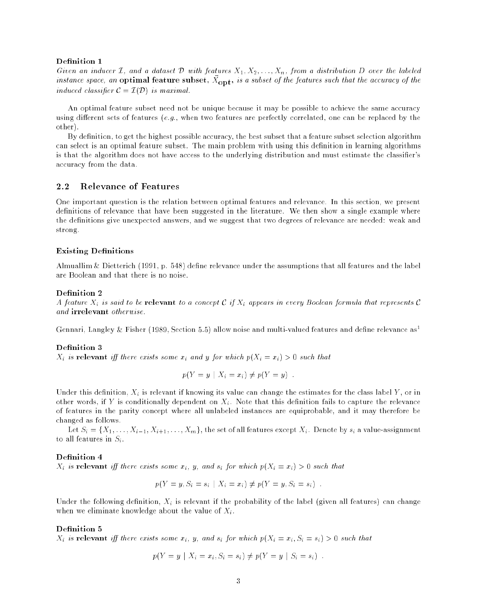## Definition 1

Given an inducer  $\mathcal{I}$ , and a dataset  $\mathcal{D}$  with features  $X_1, X_2, \ldots, X_n$ , from a distribution  $D$  over the labeled instance space, an  ${\rm optimal\, feature\, subset},\, \vec{X}_{{\bf opt}},\,$  is a subset of the features such that the accuracy of the induced classifier  $\mathcal{C} = \mathcal{I}(\mathcal{D})$  is maximal.

An optimal feature subset need not be unique because it may be possible to achieve the same accuracy using different sets of features (e.g., when two features are perfectly correlated, one can be replaced by the other).

By definition, to get the highest possible accuracy, the best subset that a feature subset selection algorithm can select is an optimal feature subset. The main problem with using this definition in learning algorithms is that the algorithm does not have access to the underlying distribution and must estimate the classifier's accuracy from the data.

## 2.2 Relevance of Features

One important question is the relation between optimal features and relevance. In this section, we present definitions of relevance that have been suggested in the literature. We then show a single example where the definitions give unexpected answers, and we suggest that two degrees of relevance are needed: weak and strong.

## **Existing Definitions**

Almuallim & Dietterich (1991, p. 548) define relevance under the assumptions that all features and the label are Boolean and that there is no noise.

## Definition 2

A feature  $X_i$  is said to be relevant to a concept C if  $X_i$  appears in every Boolean formula that represents C and irrelevant otherwise.

Gennari, Langley & Fisher (1989, Section 5.5) allow noise and multi-valued features and define relevance  $as<sup>1</sup>$ 

## Definition 3

 $X_i$  is relevant iff there exists some  $x_i$  and y for which  $p(X_i = x_i) > 0$  such that

$$
p(Y = y \mid X_i = x_i) \neq p(Y = y) .
$$

Under this definition,  $X_i$  is relevant if knowing its value can change the estimates for the class label Y, or in other words, if Y is conditionally dependent on  $X_i$ . Note that this definition fails to capture the relevance of features in the parity concept where all unlabeled instances are equiprobable, and it may therefore be changed as follows.

Let  $S_i = \{X_1, \ldots, X_{i-1}, X_{i+1}, \ldots, X_m\}$ , the set of all features except  $X_i$ . Denote by  $s_i$  a value-assignment to all features in  $S_i$ .

## Definition 4

 $X_i$  is relevant iff there exists some  $x_i$ , y, and  $s_i$  for which  $p(X_i = x_i) > 0$  such that

$$
p(Y = y, S_i = s_i | X_i = x_i) \neq p(Y = y, S_i = s_i)
$$
.

Under the following definition,  $X_i$  is relevant if the probability of the label (given all features) can change when we eliminate knowledge about the value of  $X_i$ .

## Definition 5

 $X_i$  is relevant iff there exists some  $x_i$ , y, and  $s_i$  for which  $p(X_i = x_i, S_i = s_i) > 0$  such that

$$
p(Y = y \mid X_i = x_i, S_i = s_i) \neq p(Y = y \mid S_i = s_i) .
$$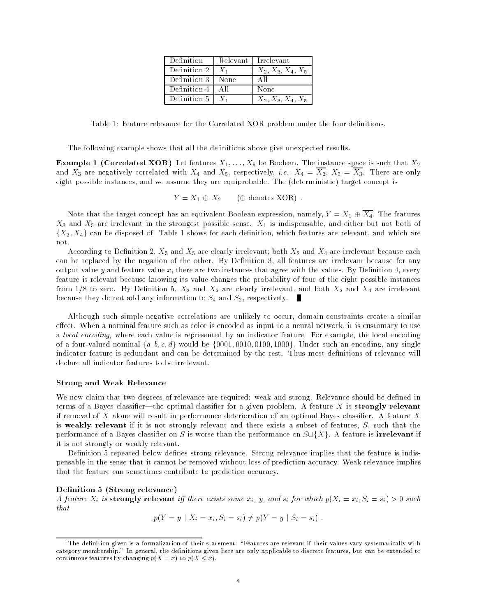| Definition                       | Relevant | l Irrelevant         |
|----------------------------------|----------|----------------------|
| Definition 2                     | $X_1$    | $X_2, X_3, X_4, X_5$ |
| $\overline{\text{Definition 3}}$ | l None   | All                  |
| Definition 4                     | -A II    | None                 |
| Definition 5                     | $X_1$    | $X_2, X_3, X_4, X_5$ |

Table 1: Feature relevance for the Correlated XOR problem under the four definitions.

The following example shows that all the definitions above give unexpected results.

**Example 1 (Correlated XOR)** Let features  $X_1, \ldots, X_5$  be Boolean. The instance space is such that  $X_2$ and  $X_3$  are negatively correlated with  $X_4$  and  $X_5$ , respectively, i.e.,  $X_4 = \overline{X_2}$ ,  $X_5 = \overline{X_3}$ . There are only eight possible instances, and we assume they are equiprobable. The (deterministic) target concept is

$$
Y = X_1 \oplus X_2 \qquad (\oplus \text{ denotes XOR}) .
$$

Note that the target concept has an equivalent Boolean expression, namely,  $Y = X_1 \oplus \overline{X_4}$ . The features  $X_3$  and  $X_5$  are irrelevant in the strongest possible sense.  $X_1$  is indispensable, and either but not both of  $\{X_2, X_4\}$  can be disposed of. Table 1 shows for each definition, which features are relevant, and which are  $not$ 

According to Definition 2,  $X_3$  and  $X_5$  are clearly irrelevant; both  $X_2$  and  $X_4$  are irrelevant because each can be replaced by the negation of the other. By Definition 3, all features are irrelevant because for any output value  $y$  and feature value  $x$ , there are two instances that agree with the values. By Definition 4, every feature is relevant because knowing its value changes the probability of four of the eight possible instances from 1/8 to zero. By Definition 5,  $X_3$  and  $X_5$  are clearly irrelevant, and both  $X_2$  and  $X_4$  are irrelevant because they do not add any information to  $S_4$  and  $S_2$ , respectively.

Although such simple negative correlations are unlikely to occur, domain constraints create a similar effect. When a nominal feature such as color is encoded as input to a neural network, it is customary to use a local encoding, where each value is represented by an indicator feature. For example, the local encoding of a four-valued nominal  $\{a, b, c, d\}$  would be  $\{0001, 0010, 0100, 1000\}$ . Under such an encoding, any single indicator feature is redundant and can be determined by the rest. Thus most definitions of relevance will declare all indicator features to be irrelevant.

## Strong and Weak Relevance

We now claim that two degrees of relevance are required: weak and strong. Relevance should be defined in terms of a Bayes classifier—the optimal classifier for a given problem. A feature X is strongly relevant if removal of X alone will result in performance deterioration of an optimal Bayes classifier. A feature  $X$ is weakly relevant if it is not strongly relevant and there exists a subset of features, S, such that the performance of a Bayes classifier on S is worse than the performance on  $S\cup\{X\}$ . A feature is irrelevant if it is not strongly or weakly relevant.

Definition 5 repeated below defines strong relevance. Strong relevance implies that the feature is indispensable in the sense that it cannot be removed without loss of prediction accuracy. Weak relevance implies that the feature can sometimes contribute to prediction accuracy.

## Definition 5 (Strong relevance)

A feature  $X_i$  is strongly relevant iff there exists some  $x_i$ , y, and  $s_i$  for which  $p(X_i = x_i, S_i = s_i) > 0$  such that

$$
p(Y = y \mid X_i = x_i, S_i = s_i) \neq p(Y = y \mid S_i = s_i) .
$$

 $1$ The definition given is a formalization of their statement: "Features are relevant if their values vary systematically with category membership." In general, the definitions given here are only applicable to discrete features, but can be extended to continuous features by changing  $p(X = x)$  to  $p(X \leq x)$ .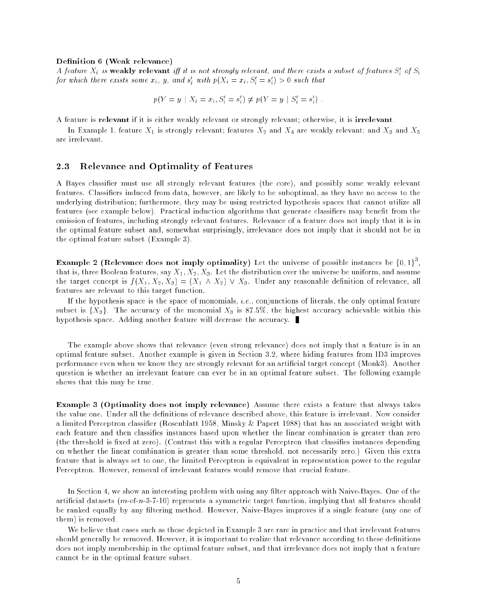### Definition 6 (Weak relevance)

A feature  $X_i$  is weakly relevant iff it is not strongly relevant, and there exists a subset of features  $S_i'$  of  $S_i$ for which there exists some  $x_i$ ,  $y$ , and  $s'_i$  with  $p(X_i = x_i, S'_i = s'_i) > 0$  such that

$$
p(Y = y \mid X_i = x_i, S'_i = s'_i) \neq p(Y = y \mid S'_i = s'_i).
$$

A feature is relevant if it is either weakly relevant or strongly relevant; otherwise, it is irrelevant.

In Example 1, feature  $X_1$  is strongly relevant; features  $X_2$  and  $X_4$  are weakly relevant; and  $X_3$  and  $X_5$ are irrelevant.

## 2.3 Relevance and Optimality of Features

A Bayes classier must use all strongly relevant features (the core), and possibly some weakly relevant features. Classiers induced from data, however, are likely to be suboptimal, as they have no access to the underlying distribution; furthermore, they may be using restricted hypothesis spaces that cannot utilize all features (see example below). Practical induction algorithms that generate classifiers may benefit from the omission of features, including strongly relevant features. Relevance of a feature does not imply that it is in the optimal feature subset and, somewhat surprisingly, irrelevance does not imply that it should not be in the optimal feature subset (Example 3).

**Example 2 (Relevance does not imply optimality)** Let the universe of possible instances be  $\{0,1\}^{\tau},$ that is, three Boolean features, say  $X_1, X_2, X_3$ . Let the distribution over the universe be uniform, and assume the target concept is  $f(X_1, X_2, X_3) = (X_1 \wedge X_2) \vee X_3$ . Under any reasonable definition of relevance, all features are relevant to this target function.

If the hypothesis space is the space of monomials, i.e., conjunctions of literals, the only optimal feature subset is  $\{X_3\}$ . The accuracy of the monomial  $X_3$  is 87.5%, the highest accuracy achievable within this hypothesis space. Adding another feature will decrease the accuracy.

The example above shows that relevance (even strong relevance) does not imply that a feature is in an optimal feature subset. Another example is given in Section 3.2, where hiding features from ID3 improves performance even when we know they are strongly relevant for an artificial target concept (Monk3). Another question is whether an irrelevant feature can ever be in an optimal feature subset. The following example shows that this may be true.

Example 3 (Optimality does not imply relevance) Assume there exists a feature that always takes the value one. Under all the definitions of relevance described above, this feature is irrelevant. Now consider a limited Perceptron classier (Rosenblatt 1958, Minsky & Papert 1988) that has an associated weight with each feature and then classies instances based upon whether the linear combination is greater than zero (the threshold is fixed at zero). (Contrast this with a regular Perceptron that classifies instances depending on whether the linear combination is greater than some threshold, not necessarily zero.) Given this extra feature that is always set to one, the limited Perceptron is equivalent in representation power to the regular Perceptron. However, removal of irrelevant features would remove that crucial feature.

In Section 4, we show an interesting problem with using any lter approach with Naive-Bayes. One of the artificial datasets  $(m-6f-n-3-7-10)$  represents a symmetric target function, implying that all features should be ranked equally by any filtering method. However, Naive-Bayes improves if a single feature (any one of them) is removed.

We believe that cases such as those depicted in Example 3 are rare in practice and that irrelevant features should generally be removed. However, it is important to realize that relevance according to these definitions does not imply membership in the optimal feature subset, and that irrelevance does not imply that a feature cannot be in the optimal feature subset.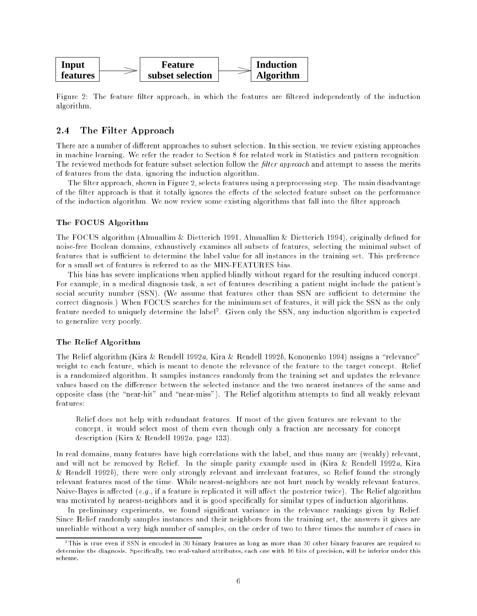

Figure 2: The feature filter approach, in which the features are filtered independently of the induction algorithm.

### The Filter Approach  $2.4$

There are a number of different approaches to subset selection. In this section, we review existing approaches in machine learning. We refer the reader to Section 8 for related work in Statistics and pattern recognition. The reviewed methods for feature subset selection follow the *filter approach* and attempt to assess the merits of features from the data, ignoring the induction algorithm.

The filter approach, shown in Figure 2, selects features using a preprocessing step. The main disadvantage of the filter approach is that it totally ignores the effects of the selected feature subset on the performance of the induction algorithm. We now review some existing algorithms that fall into the filter approach.

## The FOCUS Algorithm

The FOCUS algorithm (Almuallim & Dietterich 1991, Almuallim & Dietterich 1994), originally defined for noise-free Boolean domains, exhaustively examines all subsets of features, selecting the minimal subset of features that is sufficient to determine the label value for all instances in the training set. This preference for a small set of features is referred to as the MIN-FEATURES bias.

This bias has severe implications when applied blindly without regard for the resulting induced concept. For example, in a medical diagnosis task, a set of features describing a patient might include the patient's social security number (SSN). (We assume that features other than SSN are sufficient to determine the correct diagnosis.) When FOCUS searches for the minimum set of features, it will pick the SSN as the only feature needed to uniquely determine the label<sup>2</sup> . Given only the SSN, any induction algorithm is expected to generalize very poorly.

## The Relief Algorithm

The Relief algorithm (Kira & Rendell 1992a, Kira & Rendell 1992b, Kononenko 1994) assigns a \relevance" weight to each feature, which is meant to denote the relevance of the feature to the target concept. Relief is a randomized algorithm. It samples instances randomly from the training set and updates the relevance values based on the difference between the selected instance and the two nearest instances of the same and opposite class (the "near-hit" and "near-miss"). The Relief algorithm attempts to find all weakly relevant features:

Relief does not help with redundant features. If most of the given features are relevant to the concept, it would select most of them even though only a fraction are necessary for concept description (Kira & Rendell 1992a, page 133).

In real domains, many features have high correlations with the label, and thus many are (weakly) relevant, and will not be removed by Relief. In the simple parity example used in (Kira & Rendell 1992a, Kira & Rendell 1992b), there were only strongly relevant and irrelevant features, so Relief found the strongly relevant features most of the time. While nearest-neighbors are not hurt much by weakly relevant features, Naive-Bayes is affected (e.g., if a feature is replicated it will affect the posterior twice). The Relief algorithm was motivated by nearest-neighbors and it is good specically for similar types of induction algorithms.

In preliminary experiments, we found significant variance in the relevance rankings given by Relief. Since Relief randomly samples instances and their neighbors from the training set, the answers it gives are unreliable without a very high number of samples, on the order of two to three times the number of cases in

<sup>2</sup>This is true even if SSN is encoded in 30 binary features as long as more than 30 other binary features are required to determine the diagnosis. Specifically, two real-valued attributes, each one with 16 bits of precision, will be inferior under this scheme.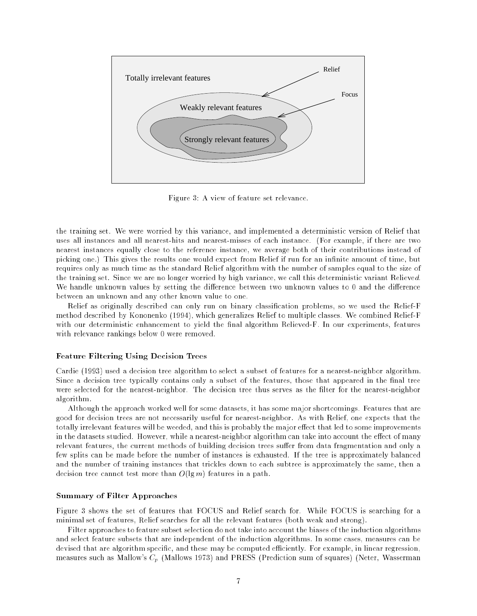

Figure 3: A view of feature set relevance.

the training set. We were worried by this variance, and implemented a deterministic version of Relief that uses all instances and all nearest-hits and nearest-misses of each instance. (For example, if there are two nearest instances equally close to the reference instance, we average both of their contributions instead of picking one.) This gives the results one would expect from Relief if run for an infinite amount of time, but requires only as much time as the standard Relief algorithm with the number of samples equal to the size of the training set. Since we are no longer worried by high variance, we call this deterministic variant Relieved. We handle unknown values by setting the difference between two unknown values to 0 and the difference between an unknown and any other known value to one.

Relief as originally described can only run on binary classication problems, so we used the Relief-F method described by Kononenko (1994), which generalizes Relief to multiple classes. We combined Relief-F with our deterministic enhancement to yield the final algorithm Relieved-F. In our experiments, features with relevance rankings below 0 were removed.

## Feature Filtering Using Decision Trees

Cardie (1993) used a decision tree algorithm to select a subset of features for a nearest-neighbor algorithm. Since a decision tree typically contains only a subset of the features, those that appeared in the final tree were selected for the nearest-neighbor. The decision tree thus serves as the filter for the nearest-neighbor algorithm.

Although the approach worked well for some datasets, it has some major shortcomings. Features that are good for decision trees are not necessarily useful for nearest-neighbor. As with Relief, one expects that the totally irrelevant features will be weeded, and this is probably the major effect that led to some improvements in the datasets studied. However, while a nearest-neighbor algorithm can take into account the effect of many relevant features, the current methods of building decision trees suffer from data fragmentation and only a few splits can be made before the number of instances is exhausted. If the tree is approximately balanced and the number of training instances that trickles down to each subtree is approximately the same, then a decision tree cannot test more than  $O(\lg m)$  features in a path.

## Summary of Filter Approaches

Figure 3 shows the set of features that FOCUS and Relief search for. While FOCUS is searching for a minimal set of features, Relief searches for all the relevant features (both weak and strong).

Filter approaches to feature subset selection do not take into account the biases of the induction algorithms and select feature subsets that are independent of the induction algorithms. In some cases, measures can be devised that are algorithm specific, and these may be computed efficiently. For example, in linear regression, measures such as Mallow's  $C_p$  (Mallows 1973) and PRESS (Prediction sum of squares) (Neter, Wasserman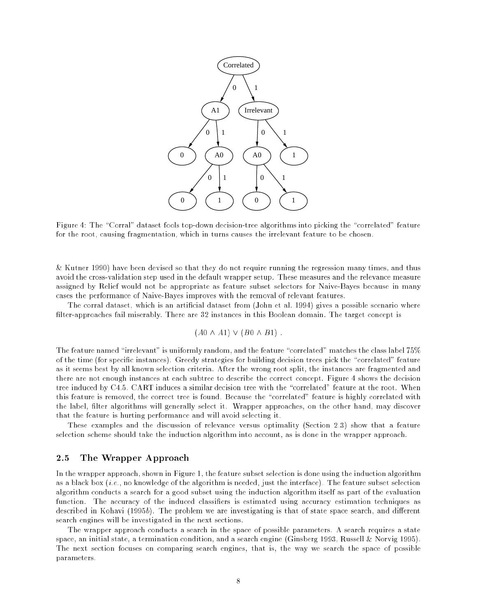

Figure 4: The "Corral" dataset fools top-down decision-tree algorithms into picking the "correlated" feature for the root, causing fragmentation, which in turns causes the irrelevant feature to be chosen.

& Kutner 1990) have been devised so that they do not require running the regression many times, and thus avoid the cross-validation step used in the default wrapper setup. These measures and the relevance measure assigned by Relief would not be appropriate as feature subset selectors for Naive-Bayes because in many cases the performance of Naive-Bayes improves with the removal of relevant features.

The corral dataset, which is an articial dataset from (John et al. 1994) gives a possible scenario where filter-approaches fail miserably. There are 32 instances in this Boolean domain. The target concept is

$$
(A0 \wedge A1) \vee (B0 \wedge B1) .
$$

The feature named "irrelevant" is uniformly random, and the feature "correlated" matches the class label 75% of the time (for specific instances). Greedy strategies for building decision trees pick the "correlated" feature as it seems best by all known selection criteria. After the wrong root split, the instances are fragmented and there are not enough instances at each subtree to describe the correct concept. Figure 4 shows the decision tree induced by C4.5. CART induces a similar decision tree with the "correlated" feature at the root. When this feature is removed, the correct tree is found. Because the "correlated" feature is highly correlated with the label, filter algorithms will generally select it. Wrapper approaches, on the other hand, may discover that the feature is hurting performance and will avoid selecting it.

These examples and the discussion of relevance versus optimality (Section 2.3) show that a feature selection scheme should take the induction algorithm into account, as is done in the wrapper approach.

## 2.5 The Wrapper Approach

In the wrapper approach, shown in Figure 1, the feature subset selection is done using the induction algorithm as a black box  $(i.e.,$  no knowledge of the algorithm is needed, just the interface). The feature subset selection algorithm conducts a search for a good subset using the induction algorithm itself as part of the evaluation function. The accuracy of the induced classifiers is estimated using accuracy estimation techniques as described in Kohavi  $(1995b)$ . The problem we are investigating is that of state space search, and different search engines will be investigated in the next sections.

The wrapper approach conducts a search in the space of possible parameters. A search requires a state space, an initial state, a termination condition, and a search engine (Ginsberg 1993, Russell & Norvig 1995). The next section focuses on comparing search engines, that is, the way we search the space of possible parameters.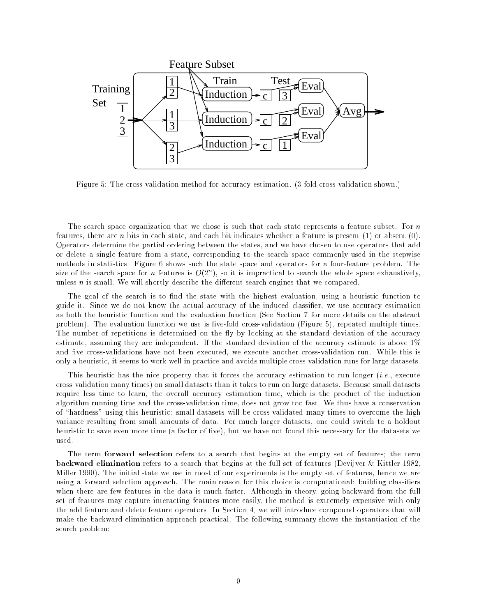

Figure 5: The cross-validation method for accuracy estimation. (3-fold cross-validation shown.)

The search space organization that we chose is such that each state represents a feature subset. For  $n$ features, there are *n* bits in each state, and each bit indicates whether a feature is present  $(1)$  or absent  $(0)$ . Operators determine the partial ordering between the states, and we have chosen to use operators that add or delete a single feature from a state, corresponding to the search space commonly used in the stepwise methods in statistics. Figure 6 shows such the state space and operators for a four-feature problem. The size of the search space for n features is  $O(2^n)$ , so it is impractical to search the whole space exhaustively, unless  $n$  is small. We will shortly describe the different search engines that we compared.

The goal of the search is to find the state with the highest evaluation, using a heuristic function to guide it. Since we do not know the actual accuracy of the induced classier, we use accuracy estimation as both the heuristic function and the evaluation function (See Section 7 for more details on the abstract problem). The evaluation function we use is five-fold cross-validation (Figure 5), repeated multiple times. The number of repetitions is determined on the fly by looking at the standard deviation of the accuracy estimate, assuming they are independent. If the standard deviation of the accuracy estimate is above 1% and five cross-validations have not been executed, we execute another cross-validation run. While this is only a heuristic, it seems to work well in practice and avoids multiple cross-validation runs for large datasets.

This heuristic has the nice property that it forces the accuracy estimation to run longer (*i.e.*, execute cross-validation many times) on small datasets than it takes to run on large datasets. Because small datasets require less time to learn, the overall accuracy estimation time, which is the product of the induction algorithm running time and the cross-validation time, does not grow too fast. We thus have a conservation of "hardness" using this heuristic: small datasets will be cross-validated many times to overcome the high variance resulting from small amounts of data. For much larger datasets, one could switch to a holdout heuristic to save even more time (a factor of five), but we have not found this necessary for the datasets we used.

The term forward selection refers to a search that begins at the empty set of features; the term backward elimination refers to a search that begins at the full set of features (Devijver & Kittler 1982, Miller 1990). The initial state we use in most of our experiments is the empty set of features, hence we are using a forward selection approach. The main reason for this choice is computational: building classiers when there are few features in the data is much faster. Although in theory, going backward from the full set of features may capture interacting features more easily, the method is extremely expensive with only the add feature and delete feature operators. In Section 4, we will introduce compound operators that will make the backward elimination approach practical. The following summary shows the instantiation of the search problem: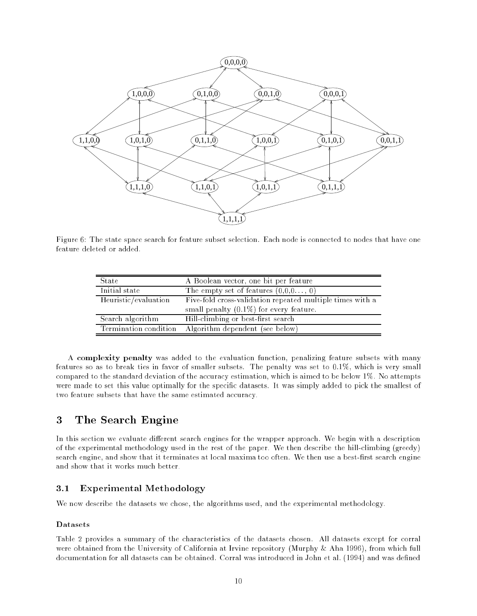

Figure 6: The state space search for feature subset selection. Each node is connected to nodes that have one feature deleted or added.

| State                 | A Boolean vector, one bit per feature                     |
|-----------------------|-----------------------------------------------------------|
| Initial state         | The empty set of features $(0,0,0,\ldots,0)$              |
| Heuristic/evaluation  | Five-fold cross-validation repeated multiple times with a |
|                       | small penalty $(0.1\%)$ for every feature.                |
| Search algorithm      | Hill-climbing or best-first search                        |
| Termination condition | Algorithm dependent (see below)                           |

A complexity penalty was added to the evaluation function, penalizing feature subsets with many features so as to break ties in favor of smaller subsets. The penalty was set to 0.1%, which is very small compared to the standard deviation of the accuracy estimation, which is aimed to be below 1%. No attempts were made to set this value optimally for the specic datasets. It was simply added to pick the smallest of two feature subsets that have the same estimated accuracy.

### 3The Search Engine

In this section we evaluate different search engines for the wrapper approach. We begin with a description of the experimental methodology used in the rest of the paper. We then describe the hill-climbing (greedy) search engine, and show that it terminates at local maxima too often. We then use a best-first search engine and show that it works much better.

## 3.1 Experimental Methodology

We now describe the datasets we chose, the algorithms used, and the experimental methodology.

## Datasets

Table 2 provides a summary of the characteristics of the datasets chosen. All datasets except for corral were obtained from the University of California at Irvine repository (Murphy & Aha 1996), from which full documentation for all datasets can be obtained. Corral was introduced in John et al. (1994) and was defined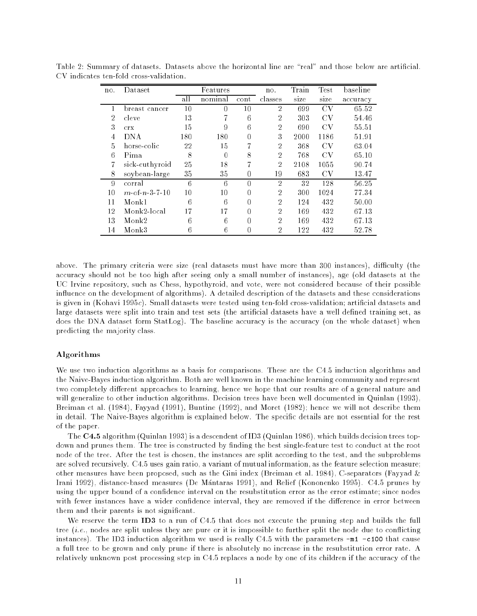| no. | Dataset          |     | Features |          | no.            | Train | Test | baseline |
|-----|------------------|-----|----------|----------|----------------|-------|------|----------|
|     |                  | all | nominal  | cont     | classes        | size  | size | accuracy |
|     | breast cancer    | 10  | 0        | 10       | $\overline{2}$ | 699   | CV   | 65.52    |
| 2   | cleve            | 13  | 7        | 6        | $\overline{2}$ | 303   | CV   | 54.46    |
| 3   | crx              | 15  | 9        | 6        | $\overline{2}$ | 690   | CV   | 55.51    |
| 4   | <b>DNA</b>       | 180 | 180      | 0        | 3              | 2000  | 1186 | 51.91    |
| 5   | horse-colic      | 22  | 15       | 7        | 2              | 368   | CV   | 63.04    |
| 6   | Pima             | 8   | $\theta$ | 8        | $\overline{2}$ | 768   | CV   | 65.10    |
|     | sick-euthyroid   | 25  | 18       |          | $\mathcal{D}$  | 2108  | 1055 | 90.74    |
| 8   | soybean-large    | 35  | 35       | $\theta$ | 19             | 683   | CV   | 13.47    |
| 9   | corral           | 6   | 6        | 0        | $\mathfrak{D}$ | 32    | 128  | 56.25    |
| 10  | $m$ -of-n-3-7-10 | 10  | 10       | $\theta$ | $\overline{2}$ | 300   | 1024 | 77.34    |
| 11  | Monk1            | 6   | 6        | $\theta$ | $\overline{2}$ | 124   | 432  | 50.00    |
| 12  | $Monk2-local$    | 17  | 17       | $\Omega$ | 2              | 169   | 432  | 67.13    |
| 13  | Monk2            | 6   | 6        | 0        | $\overline{2}$ | 169   | 432  | 67.13    |
| 14  | Monk3            | 6   | 6        | 0        | 2              | 122   | 432  | 52.78    |

Table 2: Summary of datasets. Datasets above the horizontal line are "real" and those below are artificial. CV indicates ten-fold cross-validation.

above. The primary criteria were size (real datasets must have more than 300 instances), difficulty (the accuracy should not be too high after seeing only a small number of instances), age (old datasets at the UC Irvine repository, such as Chess, hypothyroid, and vote, were not considered because of their possible in
uence on the development of algorithms). A detailed description of the datasets and these considerations is given in (Kohavi 1995c). Small datasets were tested using ten-fold cross-validation; articial datasets and large datasets were split into train and test sets (the artificial datasets have a well defined training set, as does the DNA dataset form StatLog). The baseline accuracy is the accuracy (on the whole dataset) when predicting the majority class.

## Algorithms

We use two induction algorithms as a basis for comparisons. These are the C4.5 induction algorithms and the Naive-Bayes induction algorithm. Both are well known in the machine learning community and represent two completely different approaches to learning, hence we hope that our results are of a general nature and will generalize to other induction algorithms. Decision trees have been well documented in Quinlan (1993), Breiman et al. (1984), Fayyad (1991), Buntine (1992), and Moret (1982); hence we will not describe them in detail. The Naive-Bayes algorithm is explained below. The specic details are not essential for the rest of the paper.

The C4.5 algorithm (Quinlan 1993) is a descendent of ID3 (Quinlan 1986), which builds decision trees topdown and prunes them. The tree is constructed by finding the best single-feature test to conduct at the root node of the tree. After the test is chosen, the instances are split according to the test, and the subproblems are solved recursively. C4.5 uses gain ratio, a variant of mutual information, as the feature selection measure; other measures have been proposed, such as the Gini index (Breiman et al. 1984), C-separators (Fayyad & Irani 1992), distance-based measures (De Mantaras 1991), and Relief (Kononenko 1995). C4.5 prunes by using the upper bound of a confidence interval on the resubstitution error as the error estimate; since nodes with fewer instances have a wider confidence interval, they are removed if the difference in error between them and their parents is not signicant.

We reserve the term ID3 to a run of C4.5 that does not execute the pruning step and builds the full tree (*i.e.*, nodes are split unless they are pure or it is impossible to further split the node due to conflicting instances). The ID3 induction algorithm we used is really C4.5 with the parameters -m1 -c100 that cause a full tree to be grown and only prune if there is absolutely no increase in the resubstitution error rate. A relatively unknown post processing step in C4.5 replaces a node by one of its children if the accuracy of the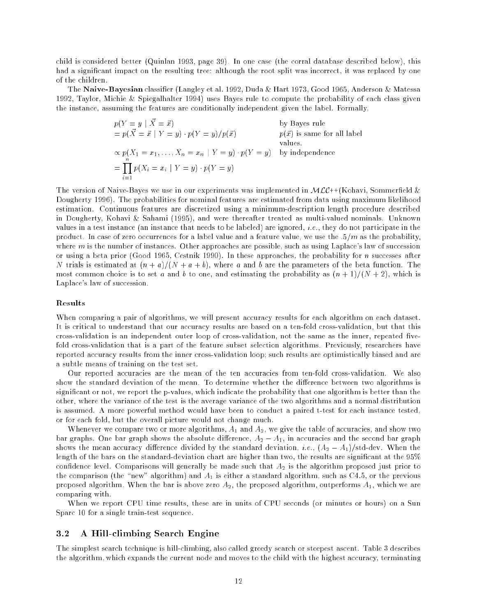child is considered better (Quinlan 1993, page 39). In one case (the corral database described below), this had a significant impact on the resulting tree: although the root split was incorrect, it was replaced by one of the children.

The Naive-Bayesian classifier (Langley et al. 1992, Duda & Hart 1973, Good 1965, Anderson & Matessa 1992, Taylor, Michie & Spiegalhalter 1994) uses Bayes rule to compute the probability of each class given the instance, assuming the features are conditionally independent given the label. Formally,

$$
p(Y = y | \vec{X} = \vec{x})
$$
by Bayes rule  
=  $p(\vec{X} = \vec{x} | Y = y) \cdot p(Y = y) / p(\vec{x})$  by Bayes rule  
 $p(\vec{x})$  is same for all label  
values.  
 $\propto p(X_1 = x_1, ..., X_n = x_n | Y = y) \cdot p(Y = y)$  by independence  
=  $\prod_{i=1}^{n} p(X_i = x_i | Y = y) \cdot p(Y = y)$ 

The version of Naive-Bayes we use in our experiments was implemented in  $MLC+$  (Kohavi, Sommerfield & Dougherty 1996). The probabilities for nominal features are estimated from data using maximum likelihood estimation. Continuous features are discretized using a minimum-description length procedure described in Dougherty, Kohavi & Sahami (1995), and were thereafter treated as multi-valued nominals. Unknown values in a test instance (an instance that needs to be labeled) are ignored, i.e., they do not participate in the product. In case of zero occurrences for a label value and a feature value, we use the  $.5/m$  as the probability, where  $m$  is the number of instances. Other approaches are possible, such as using Laplace's law of succession or using a beta prior (Good 1965, Cestnik 1990). In these approaches, the probability for  $n$  successes after N trials is estimated at  $(n + a)/(N + a + b)$ , where a and b are the parameters of the beta function. The most common choice is to set a and b to one, and estimating the probability as  $(n + 1)/(N + 2)$ , which is Laplace's law of succession.

## Results

When comparing a pair of algorithms, we will present accuracy results for each algorithm on each dataset. It is critical to understand that our accuracy results are based on a ten-fold cross-validation, but that this cross-validation is an independent outer loop of cross-validation, not the same as the inner, repeated vefold cross-validation that is a part of the feature subset selection algorithms. Previously, researchers have reported accuracy results from the inner cross-validation loop; such results are optimistically biased and are a subtle means of training on the test set.

Our reported accuracies are the mean of the ten accuracies from ten-fold cross-validation. We also show the standard deviation of the mean. To determine whether the difference between two algorithms is signicant or not, we report the p-values, which indicate the probability that one algorithm is better than the other, where the variance of the test is the average variance of the two algorithms and a normal distribution is assumed. A more powerful method would have been to conduct a paired t-test for each instance tested, or for each fold, but the overall picture would not change much.

Whenever we compare two or more algorithms,  $A_1$  and  $A_2$ , we give the table of accuracies, and show two bar graphs. One bar graph shows the absolute difference,  $A_2 - A_1$ , in accuracies and the second bar graph shows the mean accuracy difference divided by the standard deviation, *i.e.*,  $(A_2 - A_1)/$ std-dev. When the length of the bars on the standard-deviation chart are higher than two, the results are significant at the 95% confidence level. Comparisons will generally be made such that  $A_2$  is the algorithm proposed just prior to the comparison (the "new" algorithm) and  $A_1$  is either a standard algorithm, such as C4.5, or the previous proposed algorithm. When the bar is above zero  $A_2$ , the proposed algorithm, outperforms  $A_1$ , which we are comparing with.

When we report CPU time results, these are in units of CPU seconds (or minutes or hours) on a Sun Sparc 10 for a single train-test sequence.

## 3.2 A Hill-climbing Search Engine

 $\sim$ 

The simplest search technique is hill-climbing, also called greedy search or steepest ascent. Table 3 describes the algorithm, which expands the current node and moves to the child with the highest accuracy, terminating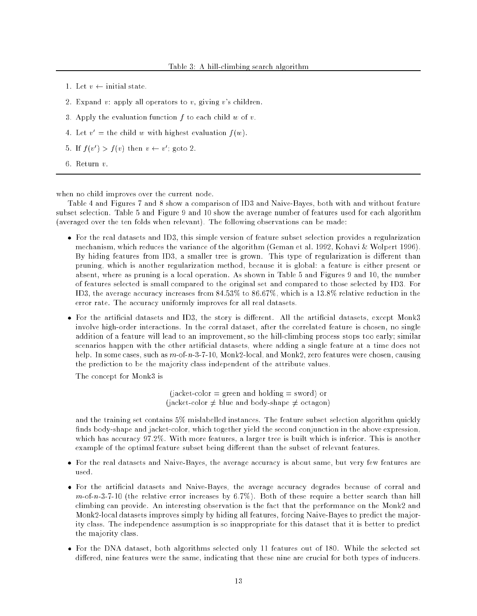- 1. Let  $v \leftarrow$  initial state.
- 2. Expand  $v:$  apply all operators to  $v$ , giving  $v$ 's children.
- 3. Apply the evaluation function  $f$  to each child  $w$  of  $v$ .
- 4. Let  $v' =$  the child w with highest evaluation  $f(w)$ .
- 5. If  $f(v') > f(v)$  then  $v \leftarrow v'$ ; goto 2.
- 6. Return v.

when no child improves over the current node.

Table 4 and Figures 7 and 8 show a comparison of ID3 and Naive-Bayes, both with and without feature subset selection. Table 5 and Figure 9 and 10 show the average number of features used for each algorithm (averaged over the ten folds when relevant). The following observations can be made:

- For the real datasets and ID3, this simple version of feature subset selection provides a regularization mechanism, which reduces the variance of the algorithm (Geman et al. 1992, Kohavi & Wolpert 1996). By hiding features from ID3, a smaller tree is grown. This type of regularization is different than pruning, which is another regularization method, because it is global: a feature is either present or absent, where as pruning is a local operation. As shown in Table 5 and Figures 9 and 10, the number of features selected is small compared to the original set and compared to those selected by ID3. For ID3, the average accuracy increases from 84.53% to 86.67%, which is a 13.8% relative reduction in the error rate. The accuracy uniformly improves for all real datasets.
- For the articial datasets and ID3, the story is dierent. All the articial datasets, except Monk3 involve high-order interactions. In the corral dataset, after the correlated feature is chosen, no single addition of a feature will lead to an improvement, so the hill-climbing process stops too early; similar scenarios happen with the other artificial datasets, where adding a single feature at a time does not help. In some cases, such as  $m$ -of-n-3-7-10, Monk2-local, and Monk2, zero features were chosen, causing the prediction to be the majority class independent of the attribute values.

The concept for Monk3 is

(jacket-color  $=$  green and holding  $=$  sword) or (jacket-color  $\neq$  blue and body-shape  $\neq$  octagon)

and the training set contains 5% mislabelled instances. The feature subset selection algorithm quickly finds body-shape and jacket-color, which together yield the second conjunction in the above expression, which has accuracy 97.2%. With more features, a larger tree is built which is inferior. This is another example of the optimal feature subset being different than the subset of relevant features.

- For the real datasets and Naive-Bayes, the average accuracy is about same, but very few features are used.
- For the articial datasets and Naive-Bayes, the average accuracy degrades because of corral and  $m$ -of-n-3-7-10 (the relative error increases by 6.7%). Both of these require a better search than hill climbing can provide. An interesting observation is the fact that the performance on the Monk2 and Monk2-local datasets improves simply by hiding all features, forcing Naive-Bayes to predict the majority class. The independence assumption is so inappropriate for this dataset that it is better to predict the majority class.
- For the DNA dataset, both algorithms selected only 11 features out of 180. While the selected set differed, nine features were the same, indicating that these nine are crucial for both types of inducers.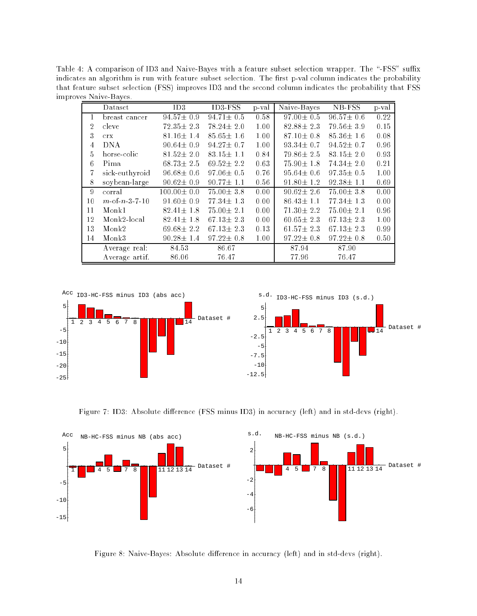Table 4: A comparison of ID3 and Naive-Bayes with a feature subset selection wrapper. The "-FSS" suffix indicates an algorithm is run with feature subset selection. The first p-val column indicates the probability that feature subset selection (FSS) improves ID3 and the second column indicates the probability that FSS improves Naive-Bayes.

|                | $\mathrm{D}$ ataset | ID3.             | $ID3-FSS$       | p-val | Naive-Bayes     | NB-FSS          | p-val |
|----------------|---------------------|------------------|-----------------|-------|-----------------|-----------------|-------|
| 1              | breast cancer       | $94.57 \pm 0.9$  | $94.71 \pm 0.5$ | 0.58  | $97.00 \pm 0.5$ | $96.57 \pm 0.6$ | 0.22  |
| $\overline{2}$ | cleve               | $72.35 \pm 2.3$  | $78.24 \pm 2.0$ | 1.00  | $82.88 \pm 2.3$ | $79.56 \pm 3.9$ | 0.15  |
| 3              | crx                 | $81.16 \pm 1.4$  | $85.65 \pm 1.6$ | 1.00  | $87.10 \pm 0.8$ | $85.36 \pm 1.6$ | 0.08  |
| 4              | DN A                | $90.64 \pm 0.9$  | $94.27 \pm 0.7$ | 1.00  | $93.34 \pm 0.7$ | $94.52 \pm 0.7$ | 0.96  |
| 5              | horse-colic         | $81.52 \pm 2.0$  | $83.15 \pm 1.1$ | 0.84  | $79.86 \pm 2.5$ | $83.15 \pm 2.0$ | 0.93  |
| 6              | Pima                | $68.73 \pm 2.5$  | $69.52 \pm 2.2$ | 0.63  | $75.90 \pm 1.8$ | $74.34 \pm 2.0$ | 0.21  |
|                | sick-euthyroid      | $96.68 \pm 0.6$  | $97.06 \pm 0.5$ | 0.76  | $95.64 \pm 0.6$ | $97.35 \pm 0.5$ | 1.00  |
| 8              | soybean-large       | $90.62 \pm 0.9$  | $90.77 \pm 1.1$ | 0.56  | $91.80 \pm 1.2$ | $92.38 \pm 1.1$ | 0.69  |
| 9              | corral              | $100.00 \pm 0.0$ | $75.00 \pm 3.8$ | 0.00  | $90.62 \pm 2.6$ | $75.00 \pm 3.8$ | 0.00  |
| 10             | $m$ -of-n-3-7-10    | $91.60 \pm 0.9$  | $77.34 \pm 1.3$ | 0.00  | $86.43 \pm 1.1$ | $77.34 \pm 1.3$ | 0.00  |
| 11             | Monk1               | $82.41 \pm 1.8$  | $75.00 \pm 2.1$ | 0.00  | $71.30 \pm 2.2$ | $75.00 \pm 2.1$ | 0.96  |
| 12             | Monk2-local         | $82.41 \pm 1.8$  | 67.13 $\pm$ 2.3 | 0.00  | $60.65 \pm 2.3$ | $67.13 \pm 2.3$ | 1.00  |
| 13             | Monk2               | $69.68 \pm 2.2$  | $67.13 \pm 2.3$ | 0.13  | $61.57 \pm 2.3$ | $67.13 \pm 2.3$ | 0.99  |
| 14             | Monk3               | $90.28 \pm 1.4$  | $97.22 \pm 0.8$ | 1.00  | $97.22 \pm 0.8$ | $97.22 \pm 0.8$ | 0.50  |
|                | Average real:       | 84.53            | 86.67           |       | 87.94           | 87.90           |       |
|                | Average artif.      | 86.06            | 76.47           |       | 77.96           | 76.47           |       |



Figure 7: ID3: Absolute difference (FSS minus ID3) in accuracy (left) and in std-devs (right).



Figure 8: Naive-Bayes: Absolute difference in accuracy (left) and in std-devs (right).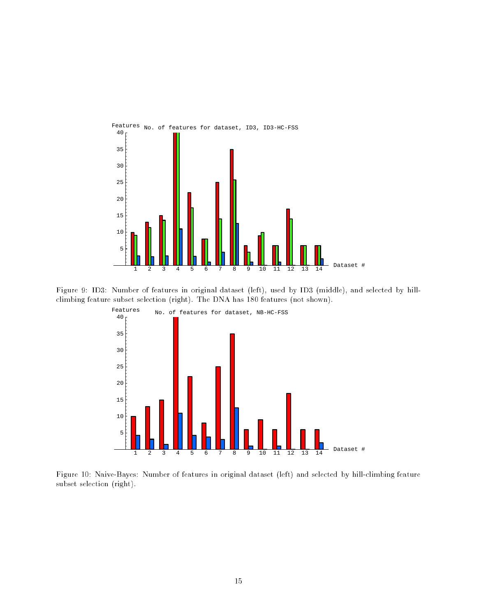

Figure 9: ID3: Number of features in original dataset (left), used by ID3 (middle), and selected by hillclimbing feature subset selection (right). The DNA has 180 features (not shown).



Figure 10: Naive-Bayes: Number of features in original dataset (left) and selected by hill-climbing feature subset selection (right).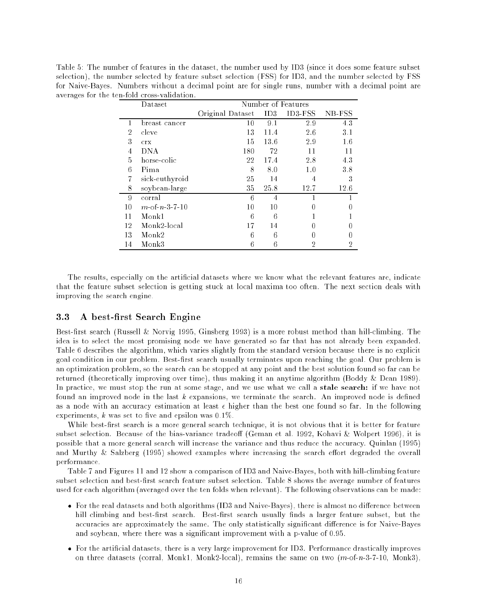Table 5: The number of features in the dataset, the number used by ID3 (since it does some feature subset selection), the number selected by feature subset selection (FSS) for ID3, and the number selected by FSS for Naive-Bayes. Numbers without a decimal point are for single runs, number with a decimal point are averages for the ten-fold cross-validation.

|    | Dataset          | Number of Features |      |                |        |  |  |  |
|----|------------------|--------------------|------|----------------|--------|--|--|--|
|    |                  | Original Dataset   | ID3  | $ID3-FSS$      | NB-FSS |  |  |  |
|    | breast cancer    | $10\,$             | 9.1  | 2.9            | 4.3    |  |  |  |
| 2  | cleve            | 13                 | 11.4 | 2.6            | 3.1    |  |  |  |
| 3  | crx              | 15                 | 13.6 | 2.9            | 1.6    |  |  |  |
| 4  | DNA              | 180                | 72   | 11             | 11     |  |  |  |
| 5  | horse-colic      | 22                 | 17.4 | 2.8            | 4.3    |  |  |  |
| 6  | Pima             | 8                  | 8.0  | 1.0            | 3.8    |  |  |  |
| 7  | sick-euthyroid   | 25                 | 14   | 4              | 3      |  |  |  |
| 8  | soybean-large    | 35                 | 25.8 | 12.7           | 12.6   |  |  |  |
| 9  | corral           | 6                  | 4    |                |        |  |  |  |
| 10 | $m$ -of-n-3-7-10 | 10                 | 10   | ( )            |        |  |  |  |
| 11 | Monk1            | 6                  | 6    |                |        |  |  |  |
| 12 | Monk2-local      | 17                 | 14   |                |        |  |  |  |
| 13 | Monk2            | 6                  | 6    |                |        |  |  |  |
| 14 | Monk3            | 6                  | 6    | $\overline{2}$ | 2      |  |  |  |

The results, especially on the articial datasets where we know what the relevant features are, indicate that the feature subset selection is getting stuck at local maxima too often. The next section deals with improving the search engine.

### A best-first Search Engine  $3.3$

Best-first search (Russell & Norvig 1995, Ginsberg 1993) is a more robust method than hill-climbing. The idea is to select the most promising node we have generated so far that has not already been expanded. Table 6 describes the algorithm, which varies slightly from the standard version because there is no explicit goal condition in our problem. Best-rst search usually terminates upon reaching the goal. Our problem is an optimization problem, so the search can be stopped at any point and the best solution found so far can be returned (theoretically improving over time), thus making it an anytime algorithm (Boddy & Dean 1989). In practice, we must stop the run at some stage, and we use what we call a stale search: if we have not found an improved node in the last  $k$  expansions, we terminate the search. An improved node is defined as a node with an accuracy estimation at least  $\epsilon$  higher than the best one found so far. In the following experiments, k was set to five and epsilon was  $0.1\%$ .

While best-first search is a more general search technique, it is not obvious that it is better for feature subset selection. Because of the bias-variance tradeoff (Geman et al. 1992, Kohavi & Wolpert 1996), it is possible that a more general search will increase the variance and thus reduce the accuracy. Quinlan (1995) and Murthy  $\&$  Salzberg (1995) showed examples where increasing the search effort degraded the overall performance.

Table 7 and Figures 11 and 12 show a comparison of ID3 and Naive-Bayes, both with hill-climbing feature subset selection and best-first search feature subset selection. Table 8 shows the average number of features used for each algorithm (averaged over the ten folds when relevant). The following observations can be made:

- For the real datasets and both algorithms (ID3 and Naive-Bayes), there is almost no dierence between hill climbing and best-first search. Best-first search usually finds a larger feature subset, but the accuracies are approximately the same. The only statistically significant difference is for Naive-Bayes and soybean, where there was a signicant improvement with a p-value of 0.95.
- For the articial datasets, there is a very large improvement for ID3. Performance drastically improves on three datasets (corral, Monk1, Monk2-local), remains the same on two  $(m-*of-n-3-7-10*, Monk3)$ ,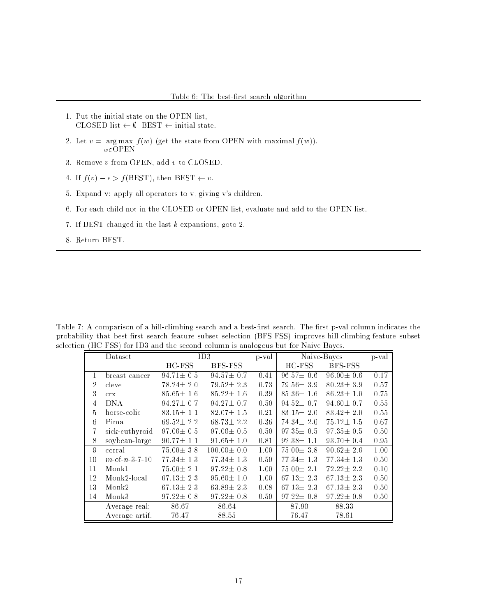- 1. Put the initial state on the OPEN list, CLOSED list  $\leftarrow \emptyset$ , BEST  $\leftarrow$  initial state.
- 2. Let  $v = \arg \max f(w)$  (get the state from OPEN with maximal  $f(w)$ ).  $w \in \overline{OPEN}$
- 3. Remove  $v$  from OPEN, add  $v$  to CLOSED.
- 4. If  $f(v) \epsilon > f(BEST)$ , then BEST  $\leftarrow v$ .
- 5. Expand v: apply all operators to v, giving v's children.
- 6. For each child not in the CLOSED or OPEN list, evaluate and add to the OPEN list.
- 7. If BEST changed in the last k expansions, goto 2.
- 8. Return BEST.

Table 7: A comparison of a hill-climbing search and a best-first search. The first p-val column indicates the probability that best-first search feature subset selection (BFS-FSS) improves hill-climbing feature subset selection (HC-FSS) for ID3 and the second column is analogous but for Naive-Bayes selection (HC-FSS) for ID3 and the second column is analogous but for Naive-Bayes.

|                | ID3<br>Dataset       |                 |                  | p-val |                 | Tor The and the second column to analogous sut for fairle Dayes.<br>Naive-Bayes | p-val |
|----------------|----------------------|-----------------|------------------|-------|-----------------|---------------------------------------------------------------------------------|-------|
|                |                      | $HC-FSS$        | <b>BFS-FSS</b>   |       | $HC$ - $FSS$    | <b>BFS-FSS</b>                                                                  |       |
| 1              | breast cancer        | $94.71 \pm 0.5$ | $94.57 \pm 0.7$  | 0.41  | $96.57 \pm 0.6$ | $96.00 \pm 0.6$                                                                 | 0.17  |
| $\overline{2}$ | cleve                | $78.24 \pm 2.0$ | $79.52 \pm 2.3$  | 0.73  | $79.56 \pm 3.9$ | $80.23 \pm 3.9$                                                                 | 0.57  |
| 3              | crx                  | $85.65 \pm 1.6$ | $85.22 \pm 1.6$  | 0.39  | $85.36 \pm 1.6$ | $86.23 \pm 1.0$                                                                 | 0.75  |
| 4              | DNA                  | $94.27 \pm 0.7$ | $94.27 \pm 0.7$  | 0.50  | $94.52 \pm 0.7$ | $94.60 \pm 0.7$                                                                 | 0.55  |
| 5.             | horse-colic          | $83.15 \pm 1.1$ | $82.07 \pm 1.5$  | 0.21  | $83.15 \pm 2.0$ | $83.42 \pm 2.0$                                                                 | 0.55  |
| 6              | Pima                 | $69.52 \pm 2.2$ | $68.73 \pm 2.2$  | 0.36  | $74.34 \pm 2.0$ | $75.12 \pm 1.5$                                                                 | 0.67  |
| $\overline{7}$ | sick-euthyroid       | $97.06 \pm 0.5$ | $97.06 \pm 0.5$  | 0.50  | $97.35 \pm 0.5$ | $97.35 \pm 0.5$                                                                 | 0.50  |
| 8              | soybean-large        | $90.77 \pm 1.1$ | $91.65 \pm 1.0$  | 0.81  | $92.38 \pm 1.1$ | $93.70 \pm 0.4$                                                                 | 0.95  |
| 9              | corral               | $75.00 \pm 3.8$ | $100.00 \pm 0.0$ | 1.00  | $75.00 \pm 3.8$ | $90.62 \pm 2.6$                                                                 | 1.00  |
| 10             | $m$ -of- $n$ -3-7-10 | $77.34 \pm 1.3$ | $77.34 \pm 1.3$  | 0.50  | $77.34 \pm 1.3$ | $77.34 \pm 1.3$                                                                 | 0.50  |
| 11             | Monk1                | $75.00 \pm 2.1$ | $97.22 \pm 0.8$  | 1.00  | $75.00 \pm 2.1$ | $72.22 \pm 2.2$                                                                 | 0.10  |
| 12             | Monk2-local          | $67.13 \pm 2.3$ | $95.60 \pm 1.0$  | 1.00  | $67.13 \pm 2.3$ | $67.13 \pm 2.3$                                                                 | 0.50  |
| 13             | Monk2                | $67.13 \pm 2.3$ | $63.89 \pm 2.3$  | 0.08  | $67.13 \pm 2.3$ | $67.13 \pm 2.3$                                                                 | 0.50  |
| 14             | Monk3                | $97.22 \pm 0.8$ | $97.22 \pm 0.8$  | 0.50  | $97.22 \pm 0.8$ | $97.22 \pm 0.8$                                                                 | 0.50  |
|                | Average real:        | 86.67           | 86.64            |       | 87.90           | 88.33                                                                           |       |
|                | Average artif.       | 76.47           | 88.55            |       | 76.47           | 78.61                                                                           |       |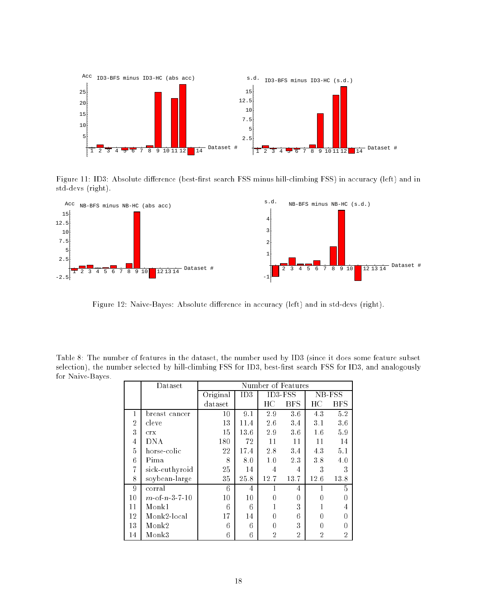

Figure 11: ID3: Absolute difference (best-first search FSS minus hill-climbing FSS) in accuracy (left) and in std-devs (right).



Figure 12: Naive-Bayes: Absolute difference in accuracy (left) and in std-devs (right).

Table 8: The number of features in the dataset, the number used by ID3 (since it does some feature subset selection), the number selected by hill-climbing FSS for ID3, best-first search FSS for ID3, and analogously for Naive-Bayes.

|                | Dataset          | Number of Features |      |      |                |        |                |  |
|----------------|------------------|--------------------|------|------|----------------|--------|----------------|--|
|                |                  | Original           | ID3  |      | $ID3-FSS$      | NB-FSS |                |  |
|                |                  | dataset            |      | HС   | <b>BFS</b>     | HС     | <b>BFS</b>     |  |
| 1              | breast cancer    | 10                 | 9.1  | 2.9  | 3.6            | 4.3    | 5.2            |  |
| $\overline{2}$ | cleve            | 13                 | 11.4 | 2.6  | 3.4            | 3.1    | 3.6            |  |
| 3              | crx              | 15                 | 13.6 | 2.9  | 3.6            | 1.6    | 5.9            |  |
| 4              | DNA              | 180                | 72   | 11   | 11             | 11     | 14             |  |
| 5              | horse-colic      | 22                 | 17.4 | 2.8  | 3.4            | 4.3    | 5.1            |  |
| 6              | Pima             | 8                  | 8.0  | 1.0  | 23             | 3.8    | 4.0            |  |
| 7              | sick-euthyroid   | 25                 | 14   | 4    | 4              | 3      | 3              |  |
| 8              | soybean-large    | 35                 | 25.8 | 12.7 | 13.7           | 12.6   | 13.8           |  |
| 9              | corral           | 6                  | 4    | 1    | 4              | 1      | 5              |  |
| 10             | $m$ -of-n-3-7-10 | 10                 | 10   | 0    | 0              | 0      | n              |  |
| 11             | Monk1            | 6                  | 6    |      | 3              |        | 4              |  |
| 12             | Monk2-local      | 17                 | 14   | 0    | 6              | 0      |                |  |
| 13             | Monk2            | 6                  | 6    | 0    | 3              | 0      | 0              |  |
| 14             | Monk3            | 6                  | 6    | 2    | $\overline{2}$ | 2      | $\overline{2}$ |  |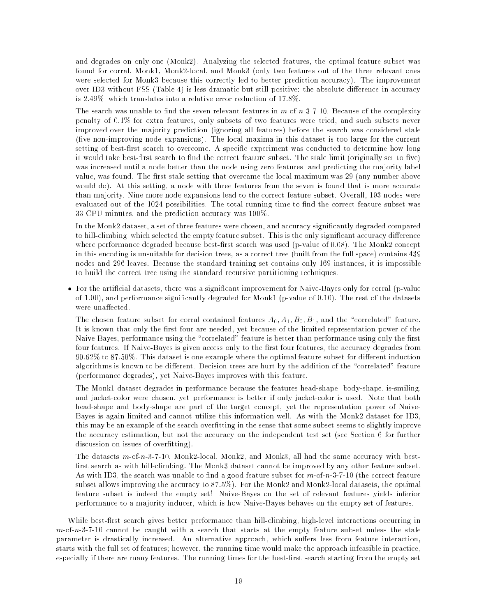and degrades on only one (Monk2). Analyzing the selected features, the optimal feature subset was found for corral, Monk1, Monk2-local, and Monk3 (only two features out of the three relevant ones were selected for Monk3 because this correctly led to better prediction accuracy). The improvement over ID3 without FSS (Table 4) is less dramatic but still positive: the absolute difference in accuracy is 2.49%, which translates into a relative error reduction of 17.8%.

The search was unable to find the seven relevant features in  $m$ -of- $n-3-7-10$ . Because of the complexity penalty of 0.1% for extra features, only subsets of two features were tried, and such subsets never improved over the majority prediction (ignoring all features) before the search was considered stale (ve non-improving node expansions). The local maxima in this dataset is too large for the current setting of best-first search to overcome. A specific experiment was conducted to determine how long it would take best-first search to find the correct feature subset. The stale limit (originally set to five) was increased until a node better than the node using zero features, and predicting the majority label value, was found. The first stale setting that overcame the local maximum was 29 (any number above would do). At this setting, a node with three features from the seven is found that is more accurate than majority. Nine more node expansions lead to the correct feature subset. Overall, 193 nodes were evaluated out of the 1024 possibilities. The total running time to find the correct feature subset was 33 CPU minutes, and the prediction accuracy was 100%.

In the Monk2 dataset, a set of three features were chosen, and accuracy signicantly degraded compared to hill-climbing, which selected the empty feature subset. This is the only significant accuracy difference where performance degraded because best-first search was used (p-value of  $0.08$ ). The Monk2 concept in this encoding is unsuitable for decision trees, as a correct tree (built from the full space) contains 439 nodes and 296 leaves. Because the standard training set contains only 169 instances, it is impossible to build the correct tree using the standard recursive partitioning techniques.

 For the articial datasets, there was a signicant improvement for Naive-Bayes only for corral (p-value of 1.00), and performance signicantly degraded for Monk1 (p-value of 0.10). The rest of the datasets were unaffected.

The chosen feature subset for corral contained features  $A_0$ ,  $A_1$ ,  $B_0$ ,  $B_1$ , and the "correlated" feature. It is known that only the first four are needed, yet because of the limited representation power of the Naive-Bayes, performance using the "correlated" feature is better than performance using only the first four features. If Naive-Bayes is given access only to the first four features, the accuracy degrades from  $90.62\%$  to  $87.50\%$ . This dataset is one example where the optimal feature subset for different induction algorithms is known to be different. Decision trees are hurt by the addition of the "correlated" feature (performance degrades), yet Naive-Bayes improves with this feature.

The Monk1 dataset degrades in performance because the features head-shape, body-shape, is-smiling, and jacket-color were chosen, yet performance is better if only jacket-color is used. Note that both head-shape and body-shape are part of the target concept, yet the representation power of Naive-Bayes is again limited and cannot utilize this information well. As with the Monk2 dataset for ID3, this may be an example of the search overfitting in the sense that some subset seems to slightly improve the accuracy estimation, but not the accuracy on the independent test set (see Section 6 for further discussion on issues of overfitting).

The datasets m-of-n-3-7-10, Monk2-local, Monk2, and Monk3, all had the same accuracy with best first search as with hill-climbing. The Monk3 dataset cannot be improved by any other feature subset. As with ID3, the search was unable to find a good feature subset for  $m$ -of-n-3-7-10 (the correct feature subset allows improving the accuracy to 87.5%). For the Monk2 and Monk2-local datasets, the optimal feature subset is indeed the empty set! Naive-Bayes on the set of relevant features yields inferior performance to a majority inducer, which is how Naive-Bayes behaves on the empty set of features.

While best-first search gives better performance than hill-climbing, high-level interactions occurring in  $m$ -of-n-3-7-10 cannot be caught with a search that starts at the empty feature subset unless the stale parameter is drastically increased. An alternative approach, which suffers less from feature interaction, starts with the full set of features; however, the running time would make the approach infeasible in practice, especially if there are many features. The running times for the best-first search starting from the empty set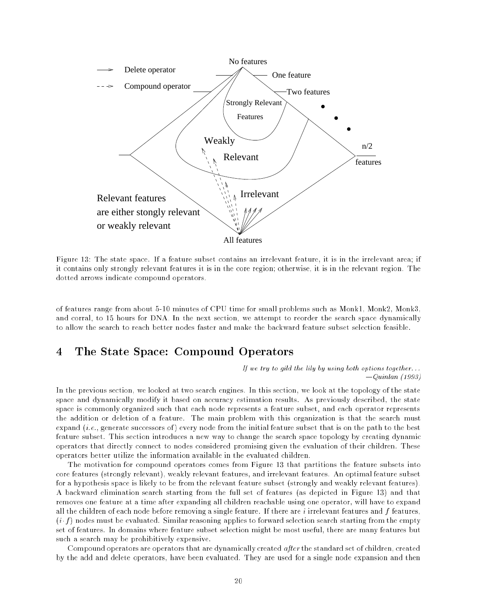

Figure 13: The state space. If a feature subset contains an irrelevant feature, it is in the irrelevant area; if it contains only strongly relevant features it is in the core region; otherwise, it is in the relevant region. The dotted arrows indicate compound operators.

of features range from about 5-10 minutes of CPU time for small problems such as Monk1, Monk2, Monk3, and corral, to 15 hours for DNA. In the next section, we attempt to reorder the search space dynamically to allow the search to reach better nodes faster and make the backward feature subset selection feasible.

#### The State Space: Compound Operators  $\overline{4}$  $\overline{\phantom{a}}$

If we try to gild the lily by using both options together...  $-Qu$ inlan (1993)

In the previous section, we looked at two search engines. In this section, we look at the topology of the state space and dynamically modify it based on accuracy estimation results. As previously described, the state space is commonly organized such that each node represents a feature subset, and each operator represents the addition or deletion of a feature. The main problem with this organization is that the search must expand (*i.e.*, generate successors of) every node from the initial feature subset that is on the path to the best feature subset. This section introduces a new way to change the search space topology by creating dynamic operators that directly connect to nodes considered promising given the evaluation of their children. These operators better utilize the information available in the evaluated children.

The motivation for compound operators comes from Figure 13 that partitions the feature subsets into core features (strongly relevant), weakly relevant features, and irrelevant features. An optimal feature subset for a hypothesis space is likely to be from the relevant feature subset (strongly and weakly relevant features). A backward elimination search starting from the full set of features (as depicted in Figure 13) and that removes one feature at a time after expanding all children reachable using one operator, will have to expand all the children of each node before removing a single feature. If there are i irrelevant features and f features,  $(i \cdot f)$  nodes must be evaluated. Similar reasoning applies to forward selection search starting from the empty set of features. In domains where feature subset selection might be most useful, there are many features but such a search may be prohibitively expensive.

Compound operators are operators that are dynamically created *after* the standard set of children, created by the add and delete operators, have been evaluated. They are used for a single node expansion and then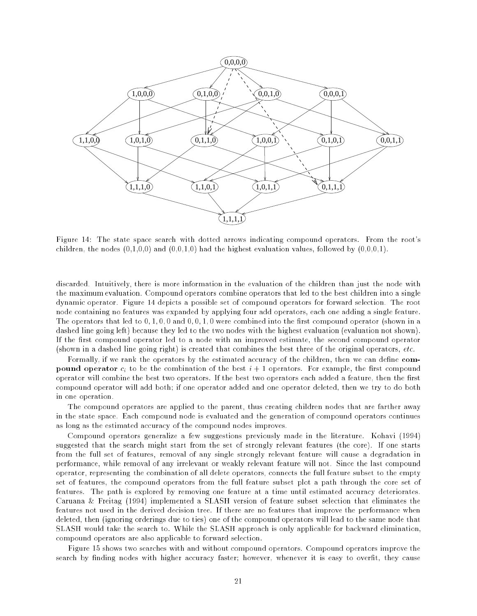

Figure 14: The state space search with dotted arrows indicating compound operators. From the root's children, the nodes  $(0,1,0,0)$  and  $(0,0,1,0)$  had the highest evaluation values, followed by  $(0,0,0,1)$ .

discarded. Intuitively, there is more information in the evaluation of the children than just the node with the maximum evaluation. Compound operators combine operators that led to the best children into a single dynamic operator. Figure 14 depicts a possible set of compound operators for forward selection. The root node containing no features was expanded by applying four add operators, each one adding a single feature. The operators that led to  $0, 1, 0, 0$  and  $0, 0, 1, 0$  were combined into the first compound operator (shown in a dashed line going left) because they led to the two nodes with the highest evaluation (evaluation not shown). If the first compound operator led to a node with an improved estimate, the second compound operator (shown in a dashed line going right) is created that combines the best three of the original operators, etc.

Formally, if we rank the operators by the estimated accuracy of the children, then we can define com**pound operator**  $c_i$  to be the combination of the best  $i + 1$  operators. For example, the first compound operator will combine the best two operators. If the best two operators each added a feature, then the first compound operator will add both; if one operator added and one operator deleted, then we try to do both in one operation.

The compound operators are applied to the parent, thus creating children nodes that are farther away in the state space. Each compound node is evaluated and the generation of compound operators continues as long as the estimated accuracy of the compound nodes improves.

Compound operators generalize a few suggestions previously made in the literature. Kohavi (1994) suggested that the search might start from the set of strongly relevant features (the core). If one starts from the full set of features, removal of any single strongly relevant feature will cause a degradation in performance, while removal of any irrelevant or weakly relevant feature will not. Since the last compound operator, representing the combination of all delete operators, connects the full feature subset to the empty set of features, the compound operators from the full feature subset plot a path through the core set of features. The path is explored by removing one feature at a time until estimated accuracy deteriorates. Caruana & Freitag (1994) implemented a SLASH version of feature subset selection that eliminates the features not used in the derived decision tree. If there are no features that improve the performance when deleted, then (ignoring orderings due to ties) one of the compound operators will lead to the same node that SLASH would take the search to. While the SLASH approach is only applicable for backward elimination, compound operators are also applicable to forward selection.

Figure 15 shows two searches with and without compound operators. Compound operators improve the search by finding nodes with higher accuracy faster; however, whenever it is easy to overfit, they cause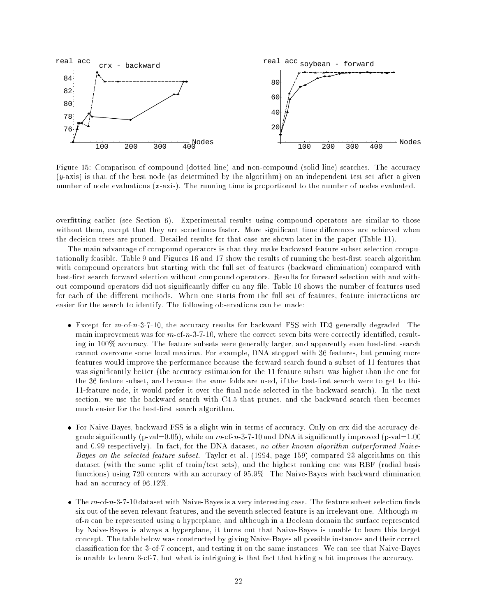

Figure 15: Comparison of compound (dotted line) and non-compound (solid line) searches. The accuracy  $(y\text{-axis})$  is that of the best node (as determined by the algorithm) on an independent test set after a given number of node evaluations (x-axis). The running time is proportional to the number of nodes evaluated.

overtting earlier (see Section 6). Experimental results using compound operators are similar to those without them, except that they are sometimes faster. More significant time differences are achieved when the decision trees are pruned. Detailed results for that case are shown later in the paper (Table 11).

The main advantage of compound operators is that they make backward feature subset selection computationally feasible. Table 9 and Figures 16 and 17 show the results of running the best-first search algorithm with compound operators but starting with the full set of features (backward elimination) compared with best-first search forward selection without compound operators. Results for forward selection with and without compound operators did not significantly differ on any file. Table 10 shows the number of features used for each of the different methods. When one starts from the full set of features, feature interactions are easier for the search to identify. The following observations can be made:

- $\bullet$  Except for  $m$ -of- $n$ -3-7-10, the accuracy results for backward FSS with ID3 generally degraded. The main improvement was for m-of-n-3-7-10, where the correct seven bits were correctly identified, resulting in 100% accuracy. The feature subsets were generally larger, and apparently even best-first search cannot overcome some local maxima. For example, DNA stopped with 36 features, but pruning more features would improve the performance because the forward search found a subset of 11 features that was significantly better (the accuracy estimation for the 11 feature subset was higher than the one for the 36 feature subset, and because the same folds are used, if the best-first search were to get to this 11-feature node, it would prefer it over the final node selected in the backward search). In the next section, we use the backward search with C4.5 that prunes, and the backward search then becomes much easier for the best-first search algorithm.
- For Naive-Bayes, backward FSS is a slight win in terms of accuracy. Only on crx did the accuracy degrade significantly (p-val=0.05), while on  $m$ -of-n-3-7-10 and DNA it significantly improved (p-val=1.00) and 0.99 respectively). In fact, for the DNA dataset, no other known algorithm outperformed Naive-Bayes on the selected feature subset. Taylor et al. (1994, page 159) compared 23 algorithms on this dataset (with the same split of train/test sets), and the highest ranking one was RBF (radial basis functions) using 720 centers with an accuracy of 95.9%. The Naive-Bayes with backward elimination had an accuracy of 96.12%.
- $\bullet$  -the m-of-n-3-7-10 dataset with Naive-Bayes is a very interesting case. The feature subset selection finds six out of the seven relevant features, and the seventh selected feature is an irrelevant one. Although m $of-n$  can be represented using a hyperplane, and although in a Boolean domain the surface represented by Naive-Bayes is always a hyperplane, it turns out that Naive-Bayes is unable to learn this target concept. The table below was constructed by giving Naive-Bayes all possible instances and their correct classication for the 3-of-7 concept, and testing it on the same instances. We can see that Naive-Bayes is unable to learn 3-of-7, but what is intriguing is that fact that hiding a bit improves the accuracy.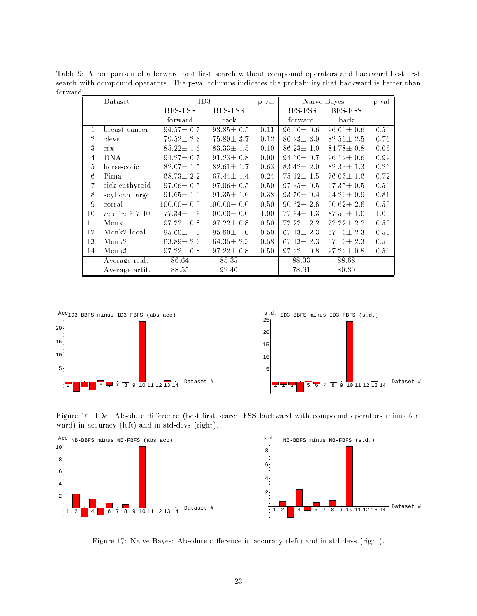Table 9: A comparison of a forward best-first search without compound operators and backward best-first search with compound operators. The p-val columns indicates the probability that backward is better than forward.

|    | ID3<br>Dataset   |                        | p-val                         |      | Naive-Bayes     | p-val           |      |
|----|------------------|------------------------|-------------------------------|------|-----------------|-----------------|------|
|    |                  | <b>BFS-FSS</b>         | BFS-FSS                       |      | <b>BFS-FSS</b>  | <b>BFS-FSS</b>  |      |
|    |                  | forward                | back                          |      | forward         | back            |      |
|    | breast cancer    | $\sqrt{94.57} \pm 0.7$ | $93.85 \pm 0.5$               | 0.11 | $96.00 \pm 0.6$ | $96.00 \pm 0.6$ | 0.50 |
| 2  | cleve            | $79.52 \pm 2.3$        | $75.89 \pm 3.7$               | 0.12 | $80.23 \pm 3.9$ | $82.56 \pm 2.5$ | 0.76 |
| 3  | crx              | $85.22 \pm 1.6$        | $83.33 \pm 1.5$               | 0.10 | $86.23 \pm 1.0$ | $84.78 \pm 0.8$ | 0.05 |
| 4  | DNA              | $94.27 \pm 0.7$        | $91.23 \pm 0.8$               | 0.00 | $94.60 \pm 0.7$ | $96.12 \pm 0.6$ | 0.99 |
| 5  | horse-colic      | $82.07 \pm 1.5$        | $82.61 \pm 1.7$               | 0.63 | $83.42 \pm 2.0$ | $82.33 \pm 1.3$ | 0.26 |
| 6  | Pima             | $68.73 \pm 2.2$        | $67.44 \pm 1.4$               | 0.24 | $75.12 \pm 1.5$ | $76.03 \pm 1.6$ | 0.72 |
| 7  | sick-euthyroid   | $97.06 \pm 0.5$        | $97.06 \pm 0.5$               | 0.50 | $97.35 \pm 0.5$ | $97.35 \pm 0.5$ | 0.50 |
| 8  | soybean-large    | $91.65 \pm 1.0$        | $91.35 \pm 1.0$               | 0.38 | $93.70 \pm 0.4$ | $94.29 \pm 0.9$ | 0.81 |
| 9  | corral           | $100.00 \pm 0.0$       | $\overline{100.00}$ $\pm 0.0$ | 0.50 | $90.62 \pm 2.6$ | $90.62 \pm 2.6$ | 0.50 |
| 10 | $m$ -of-n-3-7-10 | $77.34 \pm 1.3$        | $100.00 \pm 0.0$              | 1.00 | $77.34 \pm 1.3$ | $87.50 \pm 1.0$ | 1.00 |
| 11 | Monk1            | $97.22 \pm 0.8$        | $97.22 \pm 0.8$               | 0.50 | $72.22 \pm 2.2$ | $72.22 \pm 2.2$ | 0.50 |
| 12 | Monk2-local      | $95.60 \pm 1.0$        | $95.60 \pm 1.0$               | 0.50 | 67.13 $\pm$ 2.3 | $67.13 \pm 2.3$ | 0.50 |
| 13 | Monk2            | $63.89 \pm 2.3$        | $64.35 \pm 2.3$               | 0.58 | 67.13 $\pm$ 2.3 | $67.13 \pm 2.3$ | 0.50 |
| 14 | Monk3            | $97.22 \pm 0.8$        | $97.22 \pm 0.8$               | 0.50 | $97.22 \pm 0.8$ | $97.22 \pm 0.8$ | 0.50 |
|    | Average real:    | 86.64                  | 85.35                         |      | 88.33           | 88.68           |      |
|    | Average artif.   | 88.55                  | 92.40                         |      | 78.61           | 80.30           |      |





Figure 16: ID3: Absolute difference (best-first search FSS backward with compound operators minus forward) in accuracy (left) and in std-devs (right).



Figure 17: Naive-Bayes: Absolute difference in accuracy (left) and in std-devs (right).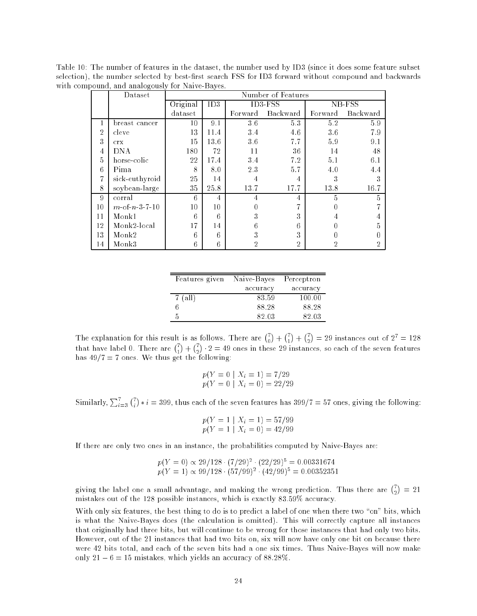|                | Dataset              | Number of Features |                            |         |                |         |          |  |
|----------------|----------------------|--------------------|----------------------------|---------|----------------|---------|----------|--|
|                |                      | Original           | ID3<br>NB-FSS<br>$ID3-FSS$ |         |                |         |          |  |
|                |                      | dataset            |                            | Forward | Backward       | Forward | Backward |  |
|                | breast cancer        | 10                 | 9.1                        | $3.6\,$ | 53             | 5.2     | $5.9\,$  |  |
| $\overline{2}$ | cleve                | 13                 | 11.4                       | 3.4     | 4.6            | 3.6     | 79       |  |
| 3              | crx                  | 15                 | 13.6                       | 3.6     | 7.7            | 5.9     | 9.1      |  |
| 4              | <b>DNA</b>           | 180                | 72                         | 11      | 36             | 14      | 48       |  |
| 5              | horse-colic          | 22                 | 17.4                       | 3.4     | 7.2            | 5.1     | 6.1      |  |
| 6              | Pima                 | 8                  | 8.0                        | 23      | 5.7            | 4.0     | 4.4      |  |
|                | sick-euthyroid       | 25                 | 14                         | 4       | 4              | 3       | 3        |  |
| 8              | soybean-large        | 35                 | 25.8                       | 13.7    | 17.7           | 13.8    | 16.7     |  |
| 9              | corral               | 6                  | 4                          | 4       | 4              | 5       | 5        |  |
| 10             | $m$ -of- $n$ -3-7-10 | 10                 | 10                         | 0       | 7              |         |          |  |
| 11             | Monk1                | 6                  | 6                          | 3       | 3              | 4       |          |  |
| 12             | Monk2-local          | 17                 | 14                         | 6       | 6              | 0       |          |  |
| 13             | Monk2                | 6                  | 6                          | 3       | 3              |         |          |  |
| 14             | Monk3                | 6                  | 6                          | 2       | $\overline{2}$ | 2       |          |  |

Table 10: The number of features in the dataset, the number used by ID3 (since it does some feature subset selection), the number selected by best-first search FSS for ID3 forward without compound and backwards with compound, and analogously for Naive-Bayes.

| Features given    | Naive-Bayes | Perceptron |
|-------------------|-------------|------------|
|                   | accuracy    | accuracy   |
| $7 \text{ (all)}$ | 83.59       | 100.00     |
|                   | 88.28       | 88.28      |
| 5                 | 82.03       | 82.03      |

The explanation for this result is as follows. There are  $\binom{7}{2}$ that have label 0. There are  $\binom{7}{1} + \binom{7}{5} \cdot 2 = 49$  ones in these 29 instance + 77 +  $\binom{7}{2} = 29$  instances out of  $2^7 = 128$ has  $49/7 = 7$  ones. We thus get the following: +  $\binom{7}{2} \cdot 2 = 49$  ones in these 29 instances, so each of the seven features

$$
p(Y = 0 | X_i = 1) = 7/29
$$
  

$$
p(Y = 0 | X_i = 0) = 22/29
$$

Similarly,  $\sum_{i=3}^{7} {r \choose i}$  $i \neq i = 399$ , thus each of the seven features has  $399/7 = 57$  ones, giving the following:

$$
p(Y = 1 | X_i = 1) = 57/99
$$
  

$$
p(Y = 1 | X_i = 0) = 42/99
$$

If there are only two ones in an instance, the probabilities computed by Naive-Bayes are:

$$
p(Y = 0) \propto 29/128 \cdot (7/29)^2 \cdot (22/29)^5 = 0.00331674
$$
  

$$
p(Y = 1) \propto 99/128 \cdot (57/99)^2 \cdot (42/99)^5 = 0.00352351
$$

giving the label one a small advantage, and making the wrong prediction. Thus there are  $\binom{7}{2}$ – mistakes out of the 128 possible instances, which is exactly 83.59% accuracy.

With only six features, the best thing to do is to predict a label of one when there two "on" bits, which is what the Naive-Bayes does (the calculation is omitted). This will correctly capture all instances that originally had three bits, but will continue to be wrong for those instances that had only two bits. However, out of the 21 instances that had two bits on, six will now have only one bit on because there were 42 bits total, and each of the seven bits had a one six times. Thus Naive-Bayes will now make only  $21 - 6 = 15$  mistakes, which yields an accuracy of 88.28%.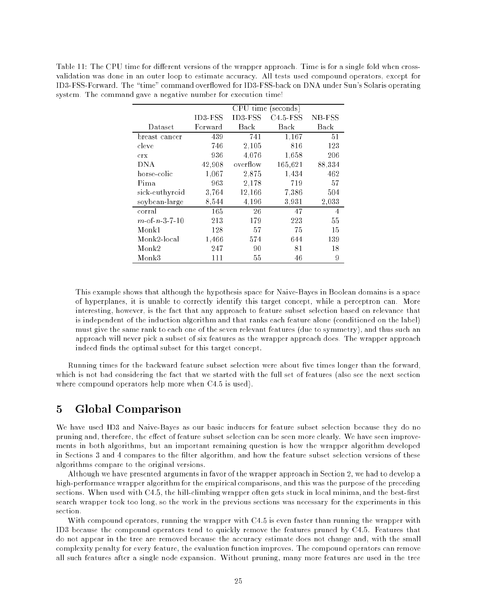Table 11: The CPU time for different versions of the wrapper approach. Time is for a single fold when crossvalidation was done in an outer loop to estimate accuracy. All tests used compound operators, except for ID3-FSS-Forward. The "time" command overflowed for ID3-FSS-back on DNA under Sun's Solaris operating system. The command gave a negative number for execution time!

|                  | CPU time<br>seconds) |           |            |        |  |  |
|------------------|----------------------|-----------|------------|--------|--|--|
|                  | $ID3-FSS$            | $ID3-FSS$ | $C4.5-FSS$ | NB-FSS |  |  |
| Dataset          | Forward              | Back      | Back       | Back   |  |  |
| breast cancer    | 439                  | 741       | 1,167      | 51     |  |  |
| cleve            | 746                  | 2,105     | 816        | 123    |  |  |
| <b>CTX</b>       | 936                  | 4,076     | 1,658      | 206    |  |  |
| <b>DNA</b>       | 42,908               | overflow  | 165,621    | 88,334 |  |  |
| horse-colic      | 1,067                | 2,875     | 1,434      | 462    |  |  |
| Pima             | 963                  | 2,178     | 719        | 57     |  |  |
| sick-euthyroid   | 3.764                | 12,166    | 7.386      | 504    |  |  |
| soybean-large    | 8,544                | 4,196     | 3,931      | 2,033  |  |  |
| corral           | 165                  | 26        | 47         | 4      |  |  |
| $m$ -of-n-3-7-10 | 213                  | 179       | 223        | 55     |  |  |
| Monk1            | 128                  | 57        | 75         | 15     |  |  |
| Monk2-local      | 1,466                | 574       | 644        | 139    |  |  |
| Monk2            | 247                  | 90        | 81         | 18     |  |  |
| Monk3            | 111                  | 55        | 46         | 9      |  |  |

This example shows that although the hypothesis space for Naive-Bayes in Boolean domains is a space of hyperplanes, it is unable to correctly identify this target concept, while a perceptron can. More interesting, however, is the fact that any approach to feature subset selection based on relevance that is independent of the induction algorithm and that ranks each feature alone (conditioned on the label) must give the same rank to each one of the seven relevant features (due to symmetry), and thus such an approach will never pick a subset of six features as the wrapper approach does. The wrapper approach indeed finds the optimal subset for this target concept.

Running times for the backward feature subset selection were about five times longer than the forward, which is not bad considering the fact that we started with the full set of features (also see the next section where compound operators help more when C4.5 is used).

## 5 Global Comparison

We have used ID3 and Naive-Bayes as our basic inducers for feature subset selection because they do no pruning and, therefore, the effect of feature subset selection can be seen more clearly. We have seen improvements in both algorithms, but an important remaining question is how the wrapper algorithm developed in Sections 3 and 4 compares to the filter algorithm, and how the feature subset selection versions of these algorithms compare to the original versions.

Although we have presented arguments in favor of the wrapper approach in Section 2, we had to develop a high-performance wrapper algorithm for the empirical comparisons, and this was the purpose of the preceding sections. When used with C4.5, the hill-climbing wrapper often gets stuck in local minima, and the best-first search wrapper took too long, so the work in the previous sections was necessary for the experiments in this section.

With compound operators, running the wrapper with C4.5 is even faster than running the wrapper with ID3 because the compound operators tend to quickly remove the features pruned by C4.5. Features that do not appear in the tree are removed because the accuracy estimate does not change and, with the small complexity penalty for every feature, the evaluation function improves. The compound operators can remove all such features after a single node expansion. Without pruning, many more features are used in the tree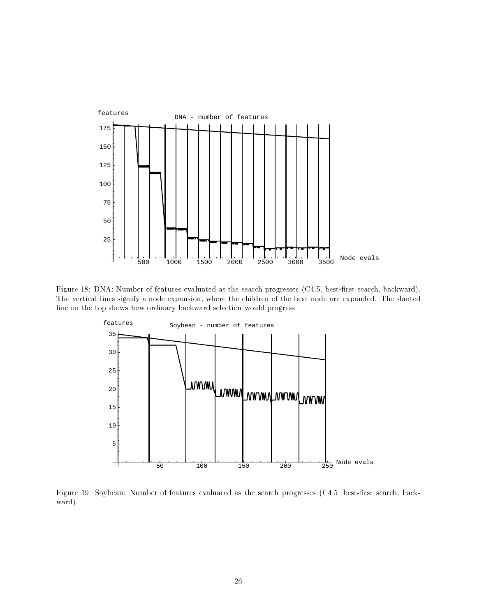

Figure 18: DNA: Number of features evaluated as the search progresses (C4.5, best-first search, backward). The vertical lines signify a node expansion, where the children of the best node are expanded. The slanted line on the top shows how ordinary backward selection would progress.



Figure 19: Soybean: Number of features evaluated as the search progresses (C4.5, best-first search, backward).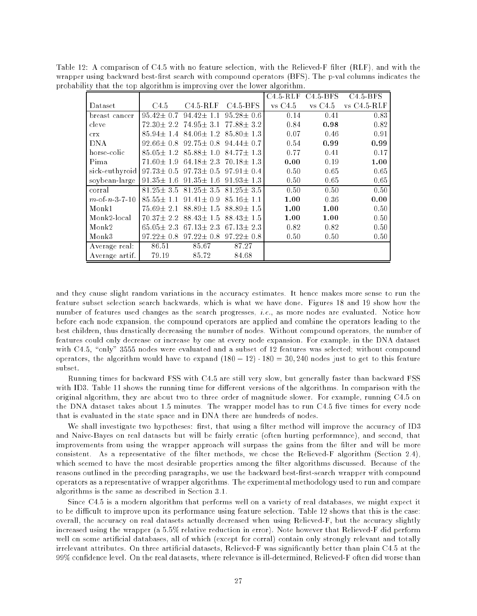|                      |                 |                                 |                 | C4.5-RLF   | $C4.5-BFS$ | $C4.5-BFS$     |
|----------------------|-----------------|---------------------------------|-----------------|------------|------------|----------------|
| Dataset              | C4.5            | $C4.5-RLF$                      | $C4.5-BFS$      | $vs\ C4.5$ | $vs\ C4.5$ | $vs\ C4.5-RLF$ |
| breast cancer        | $95.42 \pm 0.7$ | $94.42+$                        | $95.28 \pm 0.6$ | 0.14       | 0.41       | 0.83           |
| cleve                | $72.30 \pm 2.2$ | $74.95 \pm 3.1$                 | $77.88 \pm 3.2$ | 0.84       | 0.98       | 0.82           |
| crx                  | 85.94+1.4       | $84.06 \pm 1.2$                 | $85.80 \pm 1.3$ | 0.07       | 0.46       | 0.91           |
| DNA                  | $92.66 \pm 0.8$ | $92.75 \pm 0.8$                 | $94.44 \pm 0.7$ | 0.54       | 0.99       | 0.99           |
| horse-colic          |                 | $85.05 \pm 1.2$ $85.88 \pm 1.0$ | $84.77 \pm 1.3$ | 0.77       | 0.41       | 0.17           |
| Pima                 | 71.60+1.9       | $64.18 \pm 2.3$                 | $70.18 \pm 1.3$ | 0.00       | 0.19       | 1.00           |
| sick-euthyroid       | $97.73 \pm 0.5$ | $97.73 \pm 0.5$                 | $97.91 \pm 0.4$ | 0.50       | 0.65       | 0.65           |
| soybean-large        | $91.35 \pm 1.6$ | $91.35 \pm 1.6$                 | $91.93 \pm 1.3$ | 0.50       | 0.65       | 0.65           |
| corral               |                 | $81.25 \pm 3.5$ $81.25 \pm 3.5$ | $81.25 \pm 3.5$ | 0.50       | 0.50       | 0.50           |
| $m$ -of- $n$ -3-7-10 | $85.55 \pm 1.1$ | $91.41 \pm 0.9$                 | $85.16 + 1.1$   | 1.00       | 0.36       | 0.00           |
| Monk1                | $75.69 \pm 2.1$ | $88.89 \pm 1.5$                 | $88.89 \pm 1.5$ | 1.00       | 1.00       | 0.50           |
| Monk2-local          | $70.37 + 2.2$   | $88.43 \pm 1.5$                 | $88.43 + 1.5$   | 1.00       | 1.00       | 0.50           |
| Monk2                | $65.05 + 2.3$   | $67.13 \pm 2.3$                 | 67.13 $\pm$ 2.3 | 0.82       | 0.82       | 0.50           |
| Monk3                | $97.22 \pm 0.8$ | $97.22 \pm 0.8$                 | $97.22 \pm 0.8$ | 0.50       | 0.50       | 0.50           |
| Average real:        | 86.51           | 85.67                           | 87.27           |            |            |                |
| Average artif.       | 79.19           | 85.72                           | 84.68           |            |            |                |

Table 12: A comparison of C4.5 with no feature selection, with the Relieved-F filter (RLF), and with the wrapper using backward best-first search with compound operators (BFS). The p-val columns indicates the probability that the top algorithm is improving over the lower algorithm.

and they cause slight random variations in the accuracy estimates. It hence makes more sense to run the feature subset selection search backwards, which is what we have done. Figures 18 and 19 show how the number of features used changes as the search progresses, i.e., as more nodes are evaluated. Notice how before each node expansion, the compound operators are applied and combine the operators leading to the best children, thus drastically decreasing the number of nodes. Without compound operators, the number of features could only decrease or increase by one at every node expansion. For example, in the DNA dataset with C4.5, "only" 3555 nodes were evaluated and a subset of 12 features was selected; without compound operators, the algorithm would have to expand  $(180 - 12) \cdot 180 = 30,240$  nodes just to get to this feature subset.

Running times for backward FSS with C4.5 are still very slow, but generally faster than backward FSS with ID3. Table 11 shows the running time for different versions of the algorithms. In comparison with the original algorithm, they are about two to three order of magnitude slower. For example, running C4.5 on the DNA dataset takes about 1.5 minutes. The wrapper model has to run C4.5 five times for every node that is evaluated in the state space and in DNA there are hundreds of nodes.

We shall investigate two hypotheses: first, that using a filter method will improve the accuracy of ID3 and Naive-Bayes on real datasets but will be fairly erratic (often hurting performance), and second, that improvements from using the wrapper approach will surpass the gains from the filter and will be more consistent. As a representative of the filter methods, we chose the Relieved-F algorithm (Section 2.4), which seemed to have the most desirable properties among the filter algorithms discussed. Because of the reasons outlined in the preceding paragraphs, we use the backward best-first-search wrapper with compound operators as a representative of wrapper algorithms. The experimental methodology used to run and compare algorithms is the same as described in Section 3.1.

Since C4.5 is a modern algorithm that performs well on a variety of real databases, we might expect it to be difficult to improve upon its performance using feature selection. Table 12 shows that this is the case: overall, the accuracy on real datasets actually decreased when using Relieved-F, but the accuracy slightly increased using the wrapper (a 5.5% relative reduction in error). Note however that Relieved-F did perform well on some articial databases, all of which (except for corral) contain only strongly relevant and totally irrelevant attributes. On three artificial datasets, Relieved-F was significantly better than plain C4.5 at the 99% condence level. On the real datasets, where relevance is ill-determined, Relieved-F often did worse than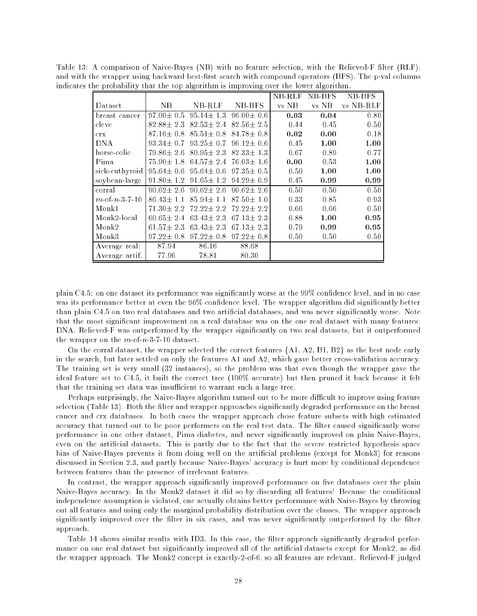Table 13: A comparison of Naive-Bayes (NB) with no feature selection, with the Relieved-F filter (RLF), and with the wrapper using backward best-first search with compound operators (BFS). The p-val columns indicates the probability that the top algorithm is improving over the lower algorithm.

|                  |                 |                                 |                 | NB-RLF | NB-BFS | NB-BFS    |
|------------------|-----------------|---------------------------------|-----------------|--------|--------|-----------|
| Dataset          | NВ              | NB-RLF                          | NB-BFS          | vs NB  | vs NB  | vs NB-RLF |
| breast cancer    | $97.00 + 0.5$   | $95.14 \pm 1.3$                 | $96.00 + 0.6$   | 0.03   | 0.04   | 0.80      |
| cleve            | $82.88 \pm 2.3$ | $82.53 \pm 2.4$                 | $82.56 \pm 2.5$ | 0.44   | 0.45   | 0.50      |
| crx              | $87.10 \pm 0.8$ | $85.51 \pm 0.8$                 | $84.78 \pm 0.8$ | 0.02   | 0.00   | 0.18      |
| DNA              | $93.34 \pm 0.7$ | $93.25 \pm 0.7$                 | $96.12 \pm 0.6$ | 0.45   | 1.00   | 1.00      |
| horse-colic      | $79.86 \pm 2.6$ | $80.95 \pm 2.3$                 | $82.33 \pm 1.3$ | 0.67   | 0.89   | 0.77      |
| Pima             | $75.90 \pm 1.8$ | $64.57 \pm 2.4$                 | $76.03 \pm 1.6$ | 0.00   | 0.53   | 1.00      |
| sick-euthyroid   | $95.64 \pm 0.6$ | $95.64 \pm 0.6$                 | $97.35 \pm 0.5$ | 0.50   | 1.00   | 1.00      |
| soybean-large    | $91.80 \pm 1.2$ | $91.65 \pm 1.2$                 | $94.29 \pm 0.9$ | 0.45   | 0.99   | 0.99      |
| corral           | $90.62 \pm 2.6$ | $90.62 \pm 2.6$                 | $90.62 \pm 2.6$ | 0.50   | 0.50   | 0.50      |
| $m$ -of-n-3-7-10 | $86.43 \pm 1.1$ | $85.94 \pm 1.1$                 | $87.50 \pm 1.0$ | 0.33   | 0.85   | 0.93      |
| Monk1            |                 | $71.30 \pm 2.2$ $72.22 \pm 2.2$ | $72.22 + 2.2$   | 0.66   | 0.66   | 0.50      |
| Monk2-local      | $60.65 \pm 2.4$ | $63.43 \pm 2.3$                 | $67.13 \pm 2.3$ | 0.88   | 1.00   | 0.95      |
| Monk2            | $61.57 \pm 2.3$ | $63.43 \pm 2.3$                 | $67.13 \pm 2.3$ | 0.79   | 0.99   | 0.95      |
| Monk3            | $97.22 \pm 0.8$ | $97.22 \pm 0.8$                 | $97.22 \pm 0.8$ | 0.50   | 0.50   | 0.50      |
| Average real:    | 87.94           | 86.16                           | 88.68           |        |        |           |
| Average artif.   | 77.96           | 78.81                           | 80.30           |        |        |           |

plain C4.5: on one dataset its performance was signicantly worse at the 99% condence level, and in no case was its performance better at even the 90% confidence level. The wrapper algorithm did significantly better than plain C4.5 on two real databases and two artificial databases, and was never significantly worse. Note that the most signicant improvement on a real database was on the one real dataset with many features: DNA. Relieved-F was outperformed by the wrapper signicantly on two real datasets, but it outperformed the wrapper on the  $m$ -of- $n-3-7-10$  dataset.

On the corral dataset, the wrapper selected the correct features  ${A1, A2, B1, B2}$  as the best node early in the search, but later settled on only the features A1 and A2, which gave better cross-validation accuracy. The training set is very small (32 instances), so the problem was that even though the wrapper gave the ideal feature set to C4.5, it built the correct tree (100% accurate) but then pruned it back because it felt that the training set data was insufficient to warrant such a large tree.

Perhaps surprisingly, the Naive-Bayes algorithm turned out to be more difficult to improve using feature selection (Table 13). Both the filter and wrapper approaches significantly degraded performance on the breast cancer and crx databases. In both cases the wrapper approach chose feature subsets with high estimated accuracy that turned out to be poor performers on the real test data. The filter caused significantly worse performance in one other dataset, Pima diabetes, and never signicantly improved on plain Naive-Bayes, even on the articial datasets. This is partly due to the fact that the severe restricted hypothesis space bias of Naive-Bayes prevents it from doing well on the articial problems (except for Monk3) for reasons discussed in Section 2.3, and partly because Naive-Bayes' accuracy is hurt more by conditional dependence between features than the presence of irrelevant features.

In contrast, the wrapper approach significantly improved performance on five databases over the plain Naive-Bayes accuracy. In the Monk2 dataset it did so by discarding all features! Because the conditional independence assumption is violated, one actually obtains better performance with Naive-Bayes by throwing out all features and using only the marginal probability distribution over the classes. The wrapper approach significantly improved over the filter in six cases, and was never significantly outperformed by the filter approach.

Table 14 shows similar results with ID3. In this case, the filter approach significantly degraded performance on one real dataset but significantly improved all of the artificial datasets except for Monk2, as did the wrapper approach. The Monk2 concept is exactly-2-of-6, so all features are relevant. Relieved-F judged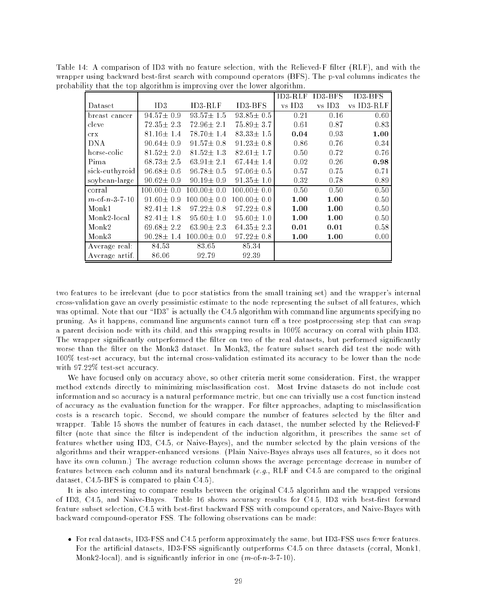|                     |                  |                  |                  | $ID3-RLF$ | $ID3-BFS$ | $ID3-BFS$    |
|---------------------|------------------|------------------|------------------|-----------|-----------|--------------|
| Dataset             | ID3              | $ID3-RLF$        | $ID3-BFS$        | $vs$ ID3  | $vs$ ID3  | $vs$ ID3-RLF |
| breast cancer       | $94.57 \pm 0.9$  | $93.57 \pm 1.5$  | $93.85 \pm 0.5$  | 0.21      | 0.16      | 0.60         |
| cleve               | $72.35\pm\,2.3$  | $72.96 \pm 2.1$  | $75.89 \pm 3.7$  | 0.61      | 0.87      | 0.83         |
| crx                 | $81.16 \pm 1.4$  | $78.70 \pm 1.4$  | $83.33 \pm 1.5$  | 0.04      | 0.93      | 1.00         |
| DNA                 | $90.64 \pm 0.9$  | $91.57 \pm 0.8$  | $91.23 \pm 0.8$  | 0.86      | 0.76      | 0.34         |
| horse-colic         | $81.52 \pm 2.0$  | $81.52 \pm 1.3$  | $82.61 \pm 1.7$  | 0.50      | 0.72      | 0.76         |
| Pima                | $68.73 \pm 2.5$  | $63.91 \pm 2.1$  | $67.44 \pm 1.4$  | 0.02      | 0.26      | 0.98         |
| sick-euthyroid      | $96.68 \pm 0.6$  | $96.78 \pm 0.5$  | $97.06 \pm 0.5$  | 0.57      | 0.75      | 0.71         |
| soybean-large       | $90.62 \pm 0.9$  | $90.19 \pm 0.9$  | $91.35 \pm 1.0$  | 0.32      | 0.78      | 0.89         |
| corral              | $100.00 \pm 0.0$ | $100.00 \pm 0.0$ | $100.00 \pm 0.0$ | 0.50      | 0.50      | 0.50         |
| $m$ -of- $n-3-7-10$ | $91.60 \pm 0.9$  | $100.00 \pm 0.0$ | $100.00 \pm 0.0$ | 1.00      | 1.00      | 0.50         |
| Monk1               | $82.41 \pm 1.8$  | $97.22 \pm 0.8$  | $97.22 \pm 0.8$  | 1.00      | 1.00      | 0.50         |
| Monk2-local         | $82.41 \pm 1.8$  | $95.60 \pm 1.0$  | $95.60 \pm 1.0$  | 1.00      | 1.00      | 0.50         |
| Monk2               | $69.68 \pm 2.2$  | $63.90 \pm 2.3$  | $64.35 \pm 2.3$  | 0.01      | 0.01      | 0.58         |
| Monk3               | $90.28 \pm 1.4$  | $100.00 \pm 0.0$ | $97.22 \pm 0.8$  | 1.00      | 1.00      | 0.00         |
| Average real:       | 84.53            | 83.65            | 85.34            |           |           |              |
| Average artif.      | 86.06            | 92.79            | 92.39            |           |           |              |

Table 14: A comparison of ID3 with no feature selection, with the Relieved-F filter (RLF), and with the wrapper using backward best-first search with compound operators (BFS). The p-val columns indicates the probability that the top algorithm is improving over the lower algorithm.

two features to be irrelevant (due to poor statistics from the small training set) and the wrapper's internal cross-validation gave an overly pessimistic estimate to the node representing the subset of all features, which was optimal. Note that our "ID3" is actually the C4.5 algorithm with command line arguments specifying no pruning. As it happens, command line arguments cannot turn off a tree postprocessing step that can swap a parent decision node with its child, and this swapping results in 100% accuracy on corral with plain ID3. The wrapper significantly outperformed the filter on two of the real datasets, but performed significantly worse than the filter on the Monk3 dataset. In Monk3, the feature subset search did test the node with 100% test-set accuracy, but the internal cross-validation estimated its accuracy to be lower than the node with 97.22% test-set accuracy.

We have focused only on accuracy above, so other criteria merit some consideration. First, the wrapper method extends directly to minimizing misclassication cost. Most Irvine datasets do not include cost information and so accuracy is a natural performance metric, but one can trivially use a cost function instead of accuracy as the evaluation function for the wrapper. For filter approaches, adapting to misclassification costs is a research topic. Second, we should compare the number of features selected by the filter and wrapper. Table 15 shows the number of features in each dataset, the number selected by the Relieved-F filter (note that since the filter is independent of the induction algorithm, it prescribes the same set of features whether using ID3, C4.5, or Naive-Bayes), and the number selected by the plain versions of the algorithms and their wrapper-enhanced versions. (Plain Naive-Bayes always uses all features, so it does not have its own column.) The average reduction column shows the average percentage decrease in number of features between each column and its natural benchmark (e.g., RLF and C4.5 are compared to the original dataset, C4.5-BFS is compared to plain C4.5).

It is also interesting to compare results between the original C4.5 algorithm and the wrapped versions of ID3, C4.5, and Naive-Bayes. Table 16 shows accuracy results for C4.5, ID3 with best-first forward feature subset selection, C4.5 with best-first backward FSS with compound operators, and Naive-Bayes with backward compound-operator FSS. The following observations can be made:

 For real datasets, ID3-FSS and C4.5 perform approximately the same, but ID3-FSS uses fewer features. For the articial datasets, ID3-FSS signicantly outperforms C4.5 on three datasets (corral, Monk1, Monk2-local), and is significantly inferior in one  $(m-6-n-3-7-10)$ .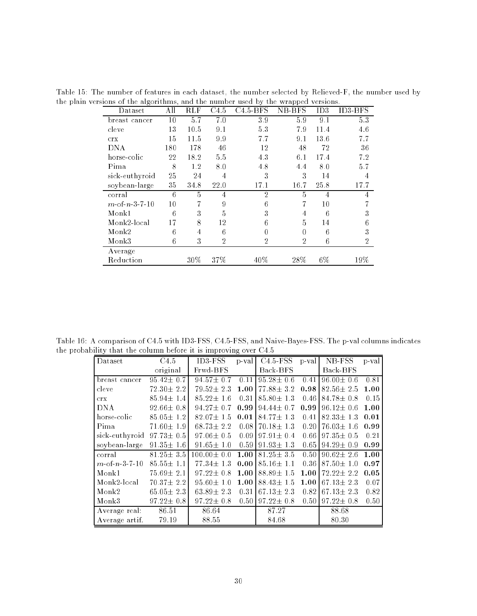| Dataset          | All | RLF     | C4.5           | $C4.5-BFS$     | NB-BFS         | ID3  | ID3-BFS |
|------------------|-----|---------|----------------|----------------|----------------|------|---------|
| breast cancer    | 10  | 5.7     | 7.0            | 3.9            | 5.9            | 9.1  | 53      |
| cleve            | 13  | 10.5    | 9.1            | 5.3            | 7.9            | 11.4 | 4.6     |
| crx              | 15  | 11.5    | 9.9            | 7.7            | 9.1            | 13.6 | 7.7     |
| DNA              | 180 | 178     | 46             | 12             | 48             | 72   | 36      |
| horse-colic      | 22  | 18.2    | 5.5            | 4.3            | 6.1            | 17.4 | 7.2     |
| Pima             | 8   | $1.2\,$ | 8.0            | 4.8            | 4.4            | 8.0  | 5.7     |
| sick-euthyroid   | 25  | 24      | 4              | 3              | 3              | 14   | 4       |
| soybean-large    | 35  | 34.8    | 22.0           | 17.1           | 16.7           | 25.8 | 17.7    |
| corral           | 6   | 5       | 4              | $\overline{2}$ | 5              | 4    | 4       |
| $m$ -of-n-3-7-10 | 10  |         | 9              | 6              | 7              | 10   |         |
| Monk1            | 6   | 3       | 5              | 3              | 4              | 6    | 3       |
| Monk2-local      | 17  | 8       | 12             | 6              | 5              | 14   | 6       |
| Monk2            | 6   | 4       | 6              | 0              | $\theta$       | 6    | 3       |
| Monk3            | 6   | 3       | $\overline{2}$ | 2              | $\overline{2}$ | 6    | 2       |
| Average          |     |         |                |                |                |      |         |
| Reduction        |     | 30%     | 37%            | 40\%           | 28\%           | 6%   | 19%     |

Table 15: The number of features in each dataset, the number selected by Relieved-F, the number used by the plain versions of the algorithms, and the number used by the wrapped versions.

Table 16: A comparison of C4.5 with ID3-FSS, C4.5-FSS, and Naive-Bayes-FSS. The p-val columns indicates the probability that the column before it is improving over C4.5

| Dataset          | C <sub>4.5</sub> | $ID3-FSS$        | p-val | $C4.5-FSS$      | p-val | NB-FSS          | p-val |
|------------------|------------------|------------------|-------|-----------------|-------|-----------------|-------|
|                  | original         | Frwd-BFS         |       | Back-BFS        |       | Back-BFS        |       |
| breast cancer    | $95.42 \pm 0.7$  | $94.57 \pm 0.7$  | 0.11  | $95.28 \pm 0.6$ | 0.41  | $96.00 \pm 0.6$ | 0.81  |
| cleve            | $72.30 \pm 2.2$  | $79.52 \pm 2.3$  | 1.00  | $77.88 \pm 3.2$ | 0.98  | $82.56 \pm 2.5$ | 1.00  |
| crx              | $85.94 \pm 1.4$  | $85.22 \pm 1.6$  | 0.31  | $85.80 \pm 1.3$ | 0.46  | $84.78 \pm 0.8$ | 0.15  |
| <b>DNA</b>       | $92.66 \pm 0.8$  | $94.27 \pm 0.7$  | 0.99  | $94.44 \pm 0.7$ | 0.99  | $96.12 \pm 0.6$ | 1.00  |
| horse-colic      | $85.05 \pm 1.2$  | $82.07 \pm 1.5$  | 0.01  | $84.77 + 1.3$   | 0.41  | $82.33 \pm 1.3$ | 0.01  |
| Pima             | $71.60 \pm 1.9$  | $68.73 \pm 2.2$  | 0.08  | $70.18 \pm 1.3$ | 0.20  | $76.03 \pm 1.6$ | 0.99  |
| sick-euthyroid   | $97.73 \pm 0.5$  | $97.06 \pm 0.5$  | 0.09  | $97.91 \pm 0.4$ | 0.66  | $97.35 \pm 0.5$ | 0.21  |
| soybean-large    | $91.35 \pm 1.6$  | $91.65 \pm 1.0$  | 0.59  | $91.93 \pm 1.3$ | 0.65  | $94.29 \pm 0.9$ | 0.99  |
| corral           | $81.25 \pm 3.5$  | $100.00 \pm 0.0$ | 1.00  | $81.25 \pm 3.5$ | 0.50  | $90.62 \pm 2.6$ | 1.00  |
| $m$ -of-n-3-7-10 | $85.55 \pm 1.1$  | $77.34 \pm 1.3$  | 0.00  | $85.16 \pm 1.1$ | 0.36  | $87.50 \pm 1.0$ | 0.97  |
| Monk1            | $75.69 \pm 2.1$  | $97.22 \pm 0.8$  | 1.00  | $88.89 \pm 1.5$ | 1.00  | $72.22 \pm 2.2$ | 0.05  |
| Monk2-local      | $70.37 \pm 2.2$  | $95.60 \pm 1.0$  | 1.00  | $88.43 \pm 1.5$ | 1.00  | $67.13 \pm 2.3$ | 0.07  |
| Monk2            | $65.05 \pm 2.3$  | $63.89 \pm 2.3$  | 0.31  | $67.13 \pm 2.3$ | 0.82  | $67.13 \pm 2.3$ | 0.82  |
| Monk3            | $97.22 \pm 0.8$  | $97.22 \pm 0.8$  | 0.50  | $97.22 \pm 0.8$ | 0.50  | $97.22 \pm 0.8$ | 0.50  |
| Average real:    | 86.51            | 86.64            |       | 87.27           |       | 88.68           |       |
| Average artif.   | 79.19            | 88.55            |       | 84.68           |       | 80.30           |       |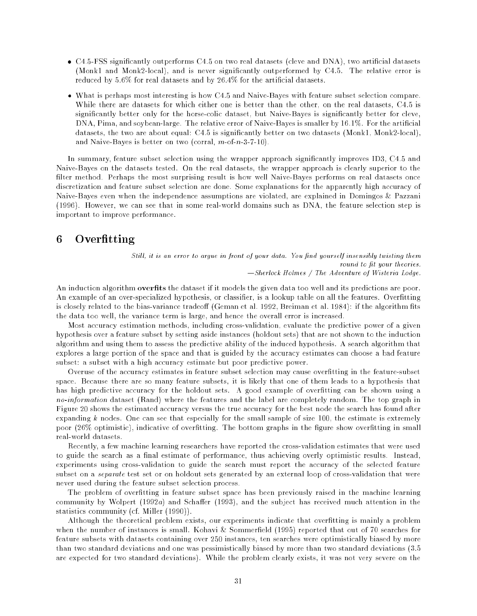- C4.5-FSS signicantly outperforms C4.5 on two real datasets (cleve and DNA), two articial datasets (Monk1 and Monk2-local), and is never significantly outperformed by C4.5. The relative error is reduced by 5.6% for real datasets and by 26.4% for the artificial datasets.
- What is perhaps most interesting is how C4.5 and Naive-Bayes with feature subset selection compare. While there are datasets for which either one is better than the other, on the real datasets, C4.5 is significantly better only for the horse-colic dataset, but Naive-Bayes is significantly better for cleve, DNA, Pima, and soybean-large. The relative error of Naive-Bayes is smaller by 16.1%. For the articial datasets, the two are about equal: C4.5 is signicantly better on two datasets (Monk1, Monk2-local), and Naive-Bayes is better on two (corral,  $m$ -of- $n-3-7-10$ ).

In summary, feature subset selection using the wrapper approach signicantly improves ID3, C4.5 and Naive-Bayes on the datasets tested. On the real datasets, the wrapper approach is clearly superior to the filter method. Perhaps the most surprising result is how well Naive-Bayes performs on real datasets once discretization and feature subset selection are done. Some explanations for the apparently high accuracy of Naive-Bayes even when the independence assumptions are violated, are explained in Domingos & Pazzani (1996). However, we can see that in some real-world domains such as DNA, the feature selection step is important to improve performance.

### 6Overfitting

Still, it is an error to argue in front of your data. You find yourself insensibly twisting them round to fit your theories. |Sherlock Holmes / The Adventure of Wisteria Lodge.

An induction algorithm **overfits** the dataset if it models the given data too well and its predictions are poor. An example of an over-specialized hypothesis, or classifier, is a lookup table on all the features. Overfitting is closely related to the bias-variance tradeoff (Geman et al. 1992, Breiman et al. 1984): if the algorithm fits the data too well, the variance term is large, and hence the overall error is increased.

Most accuracy estimation methods, including cross-validation, evaluate the predictive power of a given hypothesis over a feature subset by setting aside instances (holdout sets) that are not shown to the induction algorithm and using them to assess the predictive ability of the induced hypothesis. A search algorithm that explores a large portion of the space and that is guided by the accuracy estimates can choose a bad feature subset: a subset with a high accuracy estimate but poor predictive power.

Overuse of the accuracy estimates in feature subset selection may cause overfitting in the feature-subset space. Because there are so many feature subsets, it is likely that one of them leads to a hypothesis that has high predictive accuracy for the holdout sets. A good example of overfitting can be shown using a no-information dataset (Rand) where the features and the label are completely random. The top graph in Figure 20 shows the estimated accuracy versus the true accuracy for the best node the search has found after expanding  $k$  nodes. One can see that especially for the small sample of size 100, the estimate is extremely poor (26% optimistic), indicative of overfitting. The bottom graphs in the figure show overfitting in small real-world datasets.

Recently, a few machine learning researchers have reported the cross-validation estimates that were used to guide the search as a final estimate of performance, thus achieving overly optimistic results. Instead, experiments using cross-validation to guide the search must report the accuracy of the selected feature subset on a *separate* test set or on holdout sets generated by an external loop of cross-validation that were never used during the feature subset selection process.

The problem of overfitting in feature subset space has been previously raised in the machine learning community by Wolpert (1992a) and Schaffer (1993), and the subject has received much attention in the statistics community (cf. Miller (1990)).

Although the theoretical problem exists, our experiments indicate that overfitting is mainly a problem when the number of instances is small. Kohavi & Sommerfield (1995) reported that out of 70 searches for feature subsets with datasets containing over 250 instances, ten searches were optimistically biased by more than two standard deviations and one was pessimistically biased by more than two standard deviations (3.5 are expected for two standard deviations). While the problem clearly exists, it was not very severe on the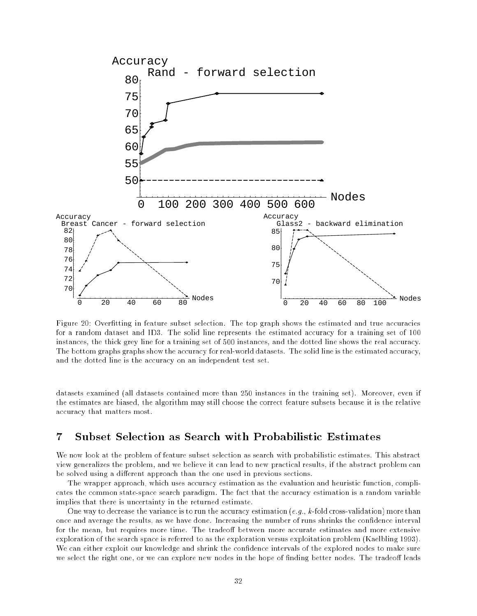

Figure 20: Overtting in feature subset selection. The top graph shows the estimated and true accuracies for a random dataset and ID3. The solid line represents the estimated accuracy for a training set of 100 instances, the thick grey line for a training set of 500 instances, and the dotted line shows the real accuracy. The bottom graphs graphs show the accuracy for real-world datasets. The solid line is the estimated accuracy, and the dotted line is the accuracy on an independent test set.

datasets examined (all datasets contained more than 250 instances in the training set). Moreover, even if the estimates are biased, the algorithm may still choose the correct feature subsets because it is the relative accuracy that matters most.

### $\overline{7}$ Subset Selection as Search with Probabilistic Estimates

We now look at the problem of feature subset selection as search with probabilistic estimates. This abstract view generalizes the problem, and we believe it can lead to new practical results, if the abstract problem can be solved using a different approach than the one used in previous sections.

The wrapper approach, which uses accuracy estimation as the evaluation and heuristic function, complicates the common state-space search paradigm. The fact that the accuracy estimation is a random variable implies that there is uncertainty in the returned estimate.

One way to decrease the variance is to run the accuracy estimation  $(e.g., k\text{-fold cross-validation})$  more than once and average the results, as we have done. Increasing the number of runs shrinks the condence interval for the mean, but requires more time. The tradeoff between more accurate estimates and more extensive exploration of the search space is referred to as the exploration versus exploitation problem (Kaelbling 1993). We can either exploit our knowledge and shrink the confidence intervals of the explored nodes to make sure we select the right one, or we can explore new nodes in the hope of finding better nodes. The tradeoff leads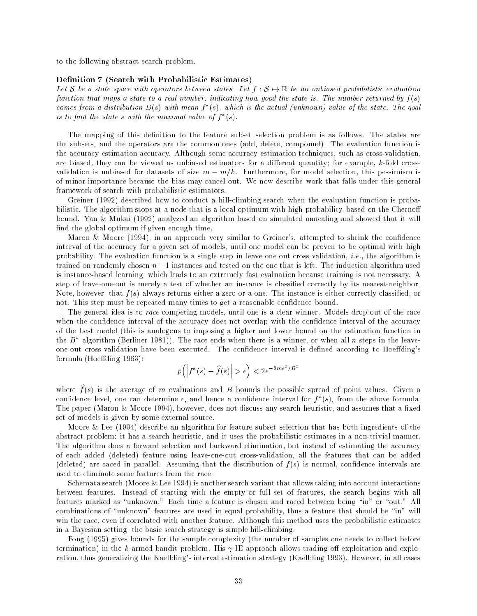to the following abstract search problem.

## Definition 7 (Search with Probabilistic Estimates)

Let S be a state space with operators between states. Let  $f : \mathcal{S} \mapsto \mathbb{R}$  be an unbiased probabilistic evaluation function that maps a state to a real number, indicating how good the state is. The number returned by  $f(s)$ comes from a distribution  $D(s)$  with mean  $f^*(s)$ , which is the actual (unknown) value of the state. The goal is to find the state s with the maximal value of  $f^*(s)$ .

The mapping of this definition to the feature subset selection problem is as follows. The states are the subsets, and the operators are the common ones (add, delete, compound). The evaluation function is the accuracy estimation accuracy. Although some accuracy estimation techniques, such as cross-validation, are biased, they can be viewed as unbiased estimators for a different quantity; for example, k-fold crossvalidation is unbiased for datasets of size  $m-m/k$ . Furthermore, for model selection, this pessimism is of minor importance because the bias may cancel out. We now describe work that falls under this general framework of search with probabilistic estimators.

Greiner (1992) described how to conduct a hill-climbing search when the evaluation function is probabilistic. The algorithm stops at a node that is a local optimum with high probability, based on the Chernoff bound. Yan & Mukai (1992) analyzed an algorithm based on simulated annealing and showed that it will find the global optimum if given enough time.

Maron & Moore (1994), in an approach very similar to Greiner's, attempted to shrink the confidence interval of the accuracy for a given set of models, until one model can be proven to be optimal with high probability. The evaluation function is a single step in leave-one-out cross-validation, i.e., the algorithm is trained on randomly chosen  $n-1$  instances and tested on the one that is left. The induction algorithm used is instance-based learning, which leads to an extremely fast evaluation because training is not necessary. A step of leave-one-out is merely a test of whether an instance is classied correctly by its nearest-neighbor. Note, however, that  $f(s)$  always returns either a zero or a one. The instance is either correctly classified, or not. This step must be repeated many times to get a reasonable confidence bound.

The general idea is to race competing models, until one is a clear winner. Models drop out of the race when the confidence interval of the accuracy does not overlap with the confidence interval of the accuracy of the best model (this is analogous to imposing a higher and lower bound on the estimation function in the  $B^*$  algorithm (Berliner 1981)). The race ends when there is a winner, or when all n steps in the leaveone-out cross-validation have been executed. The confidence interval is defined according to Hoeffding's formula (Hoeffding 1963):

$$
p(|f^*(s) - \hat{f}(s)| > \epsilon) < 2e^{-2m\epsilon^2/B^2}
$$

where  $\hat{f}(s)$  is the average of m evaluations and B bounds the possible spread of point values. Given a confidence level, one can determine  $\epsilon,$  and hence a confidence interval for  $f^*(s),$  from the above formula. The paper (Maron & Moore 1994), however, does not discuss any search heuristic, and assumes that a fixed set of models is given by some external source.

Moore & Lee (1994) describe an algorithm for feature subset selection that has both ingredients of the abstract problem: it has a search heuristic, and it uses the probabilistic estimates in a non-trivial manner. The algorithm does a forward selection and backward elimination, but instead of estimating the accuracy of each added (deleted) feature using leave-one-out cross-validation, all the features that can be added (deleted) are raced in parallel. Assuming that the distribution of  $f(s)$  is normal, confidence intervals are used to eliminate some features from the race.

Schemata search (Moore & Lee 1994) is another search variant that allows taking into account interactions between features. Instead of starting with the empty or full set of features, the search begins with all features marked as "unknown." Each time a feature is chosen and raced between being "in" or "out." All combinations of "unknown" features are used in equal probability, thus a feature that should be "in" will win the race, even if correlated with another feature. Although this method uses the probabilistic estimates in a Bayesian setting, the basic search strategy is simple hill-climbing.

Fong (1995) gives bounds for the sample complexity (the number of samples one needs to collect before termination) in the k-armed bandit problem. His  $\gamma$ -IE approach allows trading off exploitation and exploration, thus generalizing the Kaelbling's interval estimation strategy (Kaelbling 1993). However, in all cases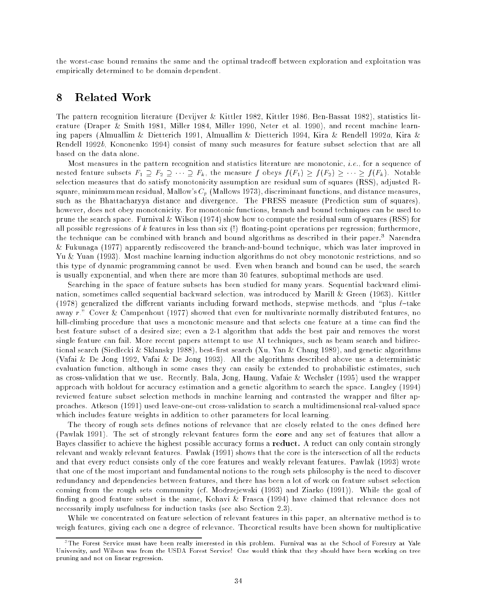the worst-case bound remains the same and the optimal tradeoff between exploration and exploitation was empirically determined to be domain dependent.

### 8Related Work

The pattern recognition literature (Devijver & Kittler 1982, Kittler 1986, Ben-Bassat 1982), statistics literature (Draper & Smith 1981, Miller 1984, Miller 1990, Neter et al. 1990), and recent machine learning papers (Almuallim & Dietterich 1991, Almuallim & Dietterich 1994, Kira & Rendell 1992a, Kira & Rendell 1992b, Kononenko 1994) consist of many such measures for feature subset selection that are all based on the data alone.

Most measures in the pattern recognition and statistics literature are monotonic, *i.e.*, for a sequence of nested feature subsets  $F_1 \supseteq F_2 \supseteq \cdots \supseteq F_k$ , the measure f obeys  $f(F_1) \geq f(F_2) \geq \cdots \geq f(F_k)$ . Notable selection measures that do satisfy monotonicity assumption are residual sum of squares (RSS), adjusted Rsquare, minimum mean residual, Mallow's  $C_p$  (Mallows 1973), discriminant functions, and distance measures, such as the Bhattacharyya distance and divergence. The PRESS measure (Prediction sum of squares), however, does not obey monotonicity. For monotonic functions, branch and bound techniques can be used to prune the search space. Furnival & Wilson (1974) show how to compute the residual sum of squares (RSS) for all possible regressions of  $k$  features in less than six  $(!)$  floating-point operations per regression; furthermore, the technique can be combined with branch and bound algorithms as described in their paper.<sup>3</sup> Narendra & Fukunaga (1977) apparently rediscovered the branch-and-bound technique, which was later improved in Yu & Yuan (1993). Most machine learning induction algorithms do not obey monotonic restrictions, and so this type of dynamic programming cannot be used. Even when branch and bound can be used, the search is usually exponential, and when there are more than 30 features, suboptimal methods are used.

Searching in the space of feature subsets has been studied for many years. Sequential backward elimination, sometimes called sequential backward selection, was introduced by Marill & Green (1963). Kittler (1978) generalized the different variants including forward methods, stepwise methods, and "plus  $\ell$ -take away r." Cover & Campenhout (1977) showed that even for multivariate normally distributed features, no hill-climbing procedure that uses a monotonic measure and that selects one feature at a time can find the best feature subset of a desired size; even a 2-1 algorithm that adds the best pair and removes the worst single feature can fail. More recent papers attempt to use AI techniques, such as beam search and bidirectional search (Siedlecki & Sklansky 1988), best-first search (Xu, Yan & Chang 1989), and genetic algorithms (Vafai & De Jong 1992, Vafai & De Jong 1993). All the algorithms described above use a deterministic evaluation function, although in some cases they can easily be extended to probabilistic estimates, such as cross-validation that we use. Recently, Bala, Jong, Haung, Vafaie & Wechsler (1995) used the wrapper approach with holdout for accuracy estimation and a genetic algorithm to search the space. Langley (1994) reviewed feature subset selection methods in machine learning and contrasted the wrapper and filter approaches. Atkeson (1991) used leave-one-out cross-validation to search a multidimensional real-valued space which includes feature weights in addition to other parameters for local learning.

The theory of rough sets defines notions of relevance that are closely related to the ones defined here (Pawlak 1991). The set of strongly relevant features form the core and any set of features that allow a Bayes classifier to achieve the highest possible accuracy forms a reduct. A reduct can only contain strongly relevant and weakly relevant features. Pawlak (1991) shows that the core is the intersection of all the reducts and that every reduct consists only of the core features and weakly relevant features. Pawlak (1993) wrote that one of the most important and fundamental notions to the rough sets philosophy is the need to discover redundancy and dependencies between features, and there has been a lot of work on feature subset selection coming from the rough sets community (cf. Modrzejewski (1993) and Ziarko (1991)). While the goal of finding a good feature subset is the same, Kohavi & Frasca  $(1994)$  have claimed that relevance does not necessarily imply usefulness for induction tasks (see also Section 2.3).

While we concentrated on feature selection of relevant features in this paper, an alternative method is to weigh features, giving each one a degree of relevance. Theoretical results have been shown for multiplicative

<sup>3</sup>The Forest Service must have been really interested in this problem. Furnival was at the School of Forestry at Yale University, and Wilson was from the USDA Forest Service! One would think that they should have been working on tree pruning and not on linear regression.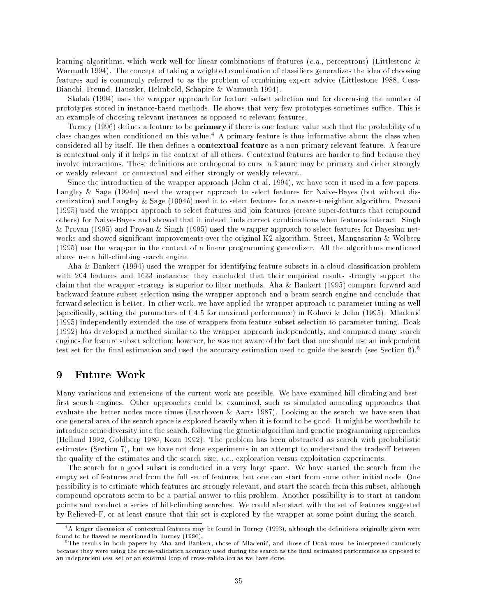learning algorithms, which work well for linear combinations of features (e.g., perceptrons) (Littlestone  $\&$ Warmuth 1994). The concept of taking a weighted combination of classiers generalizes the idea of choosing features and is commonly referred to as the problem of combining expert advice (Littlestone 1988, Cesa-Bianchi, Freund, Haussler, Helmbold, Schapire & Warmuth 1994).

Skalak (1994) uses the wrapper approach for feature subset selection and for decreasing the number of prototypes stored in instance-based methods. He shows that very few prototypes sometimes suffice. This is an example of choosing relevant instances as opposed to relevant features.

Turney (1996) defines a feature to be primary if there is one feature value such that the probability of a class changes when conditioned on this value.<sup>4</sup> A primary feature is thus informative about the class when considered all by itself. He then defines a contextual feature as a non-primary relevant feature. A feature is contextual only if it helps in the context of all others. Contextual features are harder to find because they involve interactions. These definitions are orthogonal to ours: a feature may be primary and either strongly or weakly relevant, or contextual and either strongly or weakly relevant.

Since the introduction of the wrapper approach (John et al. 1994), we have seen it used in a few papers. Langley & Sage (1994a) used the wrapper approach to select features for Naive-Bayes (but without discretization) and Langley & Sage (1994b) used it to select features for a nearest-neighbor algorithm. Pazzani (1995) used the wrapper approach to select features and join features (create super-features that compound others) for Naive-Bayes and showed that it indeed finds correct combinations when features interact. Singh & Provan (1995) and Provan & Singh (1995) used the wrapper approach to select features for Bayesian networks and showed significant improvements over the original K2 algorithm. Street, Mangasarian & Wolberg (1995) use the wrapper in the context of a linear programming generalizer. All the algorithms mentioned above use a hill-climbing search engine.

Aha & Bankert (1994) used the wrapper for identifying feature subsets in a cloud classication problem with 204 features and 1633 instances; they concluded that their empirical results strongly support the claim that the wrapper strategy is superior to filter methods. Aha & Bankert (1995) compare forward and backward feature subset selection using the wrapper approach and a beam-search engine and conclude that forward selection is better. In other work, we have applied the wrapper approach to parameter tuning as well (specically, setting the parameters of C4.5 for maximal performance) in Kohavi & John (1995). Mladenic (1995) independently extended the use of wrappers from feature subset selection to parameter tuning. Doak (1992) has developed a method similar to the wrapper approach independently, and compared many search engines for feature subset selection; however, he was not aware of the fact that one should use an independent test set for the final estimation and used the accuracy estimation used to guide the search (see Section 6).<sup>5</sup>

### 9Future Work

Many variations and extensions of the current work are possible. We have examined hill-climbing and best first search engines. Other approaches could be examined, such as simulated annealing approaches that evaluate the better nodes more times (Laarhoven & Aarts 1987). Looking at the search, we have seen that one general area of the search space is explored heavily when it is found to be good. It might be worthwhile to introduce some diversity into the search, following the genetic algorithm and genetic programming approaches (Holland 1992, Goldberg 1989, Koza 1992). The problem has been abstracted as search with probabilistic estimates (Section 7), but we have not done experiments in an attempt to understand the tradeoff between the quality of the estimates and the search size, i.e., exploration versus exploitation experiments.

The search for a good subset is conducted in a very large space. We have started the search from the empty set of features and from the full set of features, but one can start from some other initial node. One possibility is to estimate which features are strongly relevant, and start the search from this subset, although compound operators seem to be a partial answer to this problem. Another possibility is to start at random points and conduct a series of hill-climbing searches. We could also start with the set of features suggested by Relieved-F, or at least ensure that this set is explored by the wrapper at some point during the search.

<sup>&</sup>lt;sup>4</sup>A longer discussion of contextual features may be found in Turney (1993), although the definitions originally given were found to be flawed as mentioned in Turney (1996).

<sup>&</sup>lt;sup>5</sup>The results in both papers by Aha and Bankert, those of Mladenić, and those of Doak must be interpreted cautiously because they were using the cross-validation accuracy used during the search as the final estimated performance as opposed to an independent test set or an external loop of cross-validation as we have done.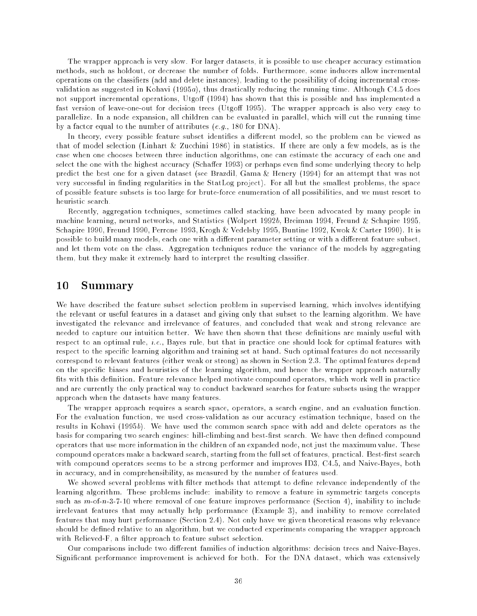The wrapper approach is very slow. For larger datasets, it is possible to use cheaper accuracy estimation methods, such as holdout, or decrease the number of folds. Furthermore, some inducers allow incremental operations on the classiers (add and delete instances), leading to the possibility of doing incremental crossvalidation as suggested in Kohavi (1995a), thus drastically reducing the running time. Although C4.5 does not support incremental operations, Utgoff (1994) has shown that this is possible and has implemented a fast version of leave-one-out for decision trees (Utgoff 1995). The wrapper approach is also very easy to parallelize. In a node expansion, all children can be evaluated in parallel, which will cut the running time by a factor equal to the number of attributes  $(e.g., 180$  for DNA).

In theory, every possible feature subset identifies a different model, so the problem can be viewed as that of model selection (Linhart & Zucchini 1986) in statistics. If there are only a few models, as is the case when one chooses between three induction algorithms, one can estimate the accuracy of each one and select the one with the highest accuracy (Schaffer 1993) or perhaps even find some underlying theory to help predict the best one for a given dataset (see Brazdil, Gama & Henery (1994) for an attempt that was not very successful in nding regularities in the StatLog project). For all but the smallest problems, the space of possible feature subsets is too large for brute-force enumeration of all possibilities, and we must resort to heuristic search.

Recently, aggregation techniques, sometimes called stacking, have been advocated by many people in machine learning, neural networks, and Statistics (Wolpert 1992b, Breiman 1994, Freund & Schapire 1995, Schapire 1990, Freund 1990, Perrone 1993, Krogh & Vedelsby 1995, Buntine 1992, Kwok & Carter 1990). It is possible to build many models, each one with a different parameter setting or with a different feature subset, and let them vote on the class. Aggregation techniques reduce the variance of the models by aggregating them, but they make it extremely hard to interpret the resulting classifier.

### $10\,$ Summary

We have described the feature subset selection problem in supervised learning, which involves identifying the relevant or useful features in a dataset and giving only that subset to the learning algorithm. We have investigated the relevance and irrelevance of features, and concluded that weak and strong relevance are needed to capture our intuition better. We have then shown that these definitions are mainly useful with respect to an optimal rule, i.e., Bayes rule, but that in practice one should look for optimal features with respect to the specific learning algorithm and training set at hand. Such optimal features do not necessarily correspond to relevant features (either weak or strong) as shown in Section 2.3. The optimal features depend on the specic biases and heuristics of the learning algorithm, and hence the wrapper approach naturally fits with this definition. Feature relevance helped motivate compound operators, which work well in practice and are currently the only practical way to conduct backward searches for feature subsets using the wrapper approach when the datasets have many features.

The wrapper approach requires a search space, operators, a search engine, and an evaluation function. For the evaluation function, we used cross-validation as our accuracy estimation technique, based on the results in Kohavi (1995b). We have used the common search space with add and delete operators as the basis for comparing two search engines: hill-climbing and best-first search. We have then defined compound operators that use more information in the children of an expanded node, not just the maximum value. These compound operators make a backward search, starting from the full set of features, practical. Best-first search with compound operators seems to be a strong performer and improves ID3, C4.5, and Naive-Bayes, both in accuracy, and in comprehensibility, as measured by the number of features used.

We showed several problems with filter methods that attempt to define relevance independently of the learning algorithm. These problems include: inability to remove a feature in symmetric targets concepts such as m-of-n-3-7-10 where removal of one feature improves performance (Section 4), inability to include irrelevant features that may actually help performance (Example 3), and inability to remove correlated features that may hurt performance (Section 2.4). Not only have we given theoretical reasons why relevance should be defined relative to an algorithm, but we conducted experiments comparing the wrapper approach with Relieved-F, a filter approach to feature subset selection.

Our comparisons include two different families of induction algorithms: decision trees and Naive-Bayes. Signicant performance improvement is achieved for both. For the DNA dataset, which was extensively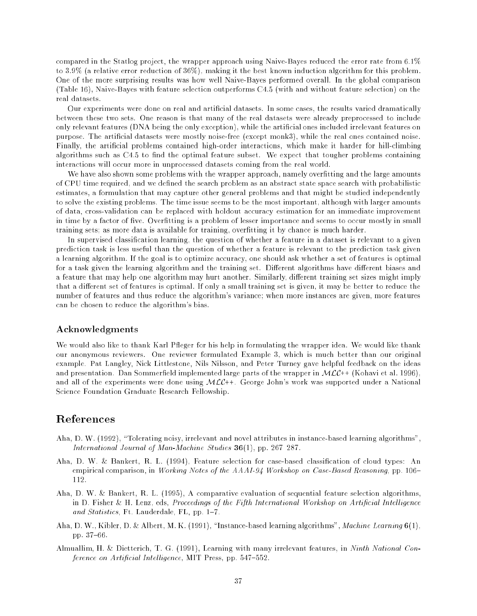compared in the Statlog project, the wrapper approach using Naive-Bayes reduced the error rate from 6.1% to 3.9% (a relative error reduction of 36%), making it the best known induction algorithm for this problem. One of the more surprising results was how well Naive-Bayes performed overall. In the global comparison (Table 16), Naive-Bayes with feature selection outperforms C4.5 (with and without feature selection) on the real datasets.

Our experiments were done on real and artificial datasets. In some cases, the results varied dramatically between these two sets. One reason is that many of the real datasets were already preprocessed to include only relevant features (DNA being the only exception), while the articial ones included irrelevant features on purpose. The articial datasets were mostly noise-free (except monk3), while the real ones contained noise. Finally, the articial problems contained high-order interactions, which make it harder for hill-climbing algorithms such as  $C<sub>4.5</sub>$  to find the optimal feature subset. We expect that tougher problems containing interactions will occur more in unprocessed datasets coming from the real world.

We have also shown some problems with the wrapper approach, namely overfitting and the large amounts of CPU time required, and we dened the search problem as an abstract state space search with probabilistic estimates, a formulation that may capture other general problems and that might be studied independently to solve the existing problems. The time issue seems to be the most important, although with larger amounts of data, cross-validation can be replaced with holdout accuracy estimation for an immediate improvement in time by a factor of five. Overfitting is a problem of lesser importance and seems to occur mostly in small training sets; as more data is available for training, overtting it by chance is much harder.

In supervised classication learning, the question of whether a feature in a dataset is relevant to a given prediction task is less useful than the question of whether a feature is relevant to the prediction task given a learning algorithm. If the goal is to optimize accuracy, one should ask whether a set of features is optimal for a task given the learning algorithm and the training set. Different algorithms have different biases and a feature that may help one algorithm may hurt another. Similarly, different training set sizes might imply that a different set of features is optimal. If only a small training set is given, it may be better to reduce the number of features and thus reduce the algorithm's variance; when more instances are given, more features can be chosen to reduce the algorithm's bias.

## Acknowledgments

We would also like to thank Karl Pfleger for his help in formulating the wrapper idea. We would like thank our anonymous reviewers. One reviewer formulated Example 3, which is much better than our original example. Pat Langley, Nick Littlestone, Nils Nilsson, and Peter Turney gave helpful feedback on the ideas and presentation. Dan Sommerfield implemented large parts of the wrapper in  $MLC++$  (Kohavi et al. 1996), and all of the experiments were done using  $MLC++$ . George John's work was supported under a National Science Foundation Graduate Research Fellowship.

- Aha, D. W. (1992), "Tolerating noisy, irrelevant and novel attributes in instance-based learning algorithms", International Journal of Man-Machine Studies  $36(1)$ , pp. 267-287.
- Aha, D. W. & Bankert, R. L. (1994), Feature selection for case-based classication of cloud types: An empirical comparison, in Working Notes of the AAAI-94 Workshop on Case-Based Reasoning, pp. 106-112.
- Aha, D. W. & Bankert, R. L. (1995), A comparative evaluation of sequential feature selection algorithms, in D. Fisher & H. Lenz, eds, *Proceedings of the Fifth International Workshop on Artificial Intelligence* and Statistics, Ft. Lauderdale, FL, pp. 1-7.
- Aha, D. W., Kibler, D. & Albert, M. K. (1991), "Instance-based learning algorithms", Machine Learning 6(1), pp. 37-66.
- Almuallim, H. & Dietterich, T. G. (1991), Learning with many irrelevant features, in Ninth National Conference on Artificial Intelligence, MIT Press, pp. 547-552.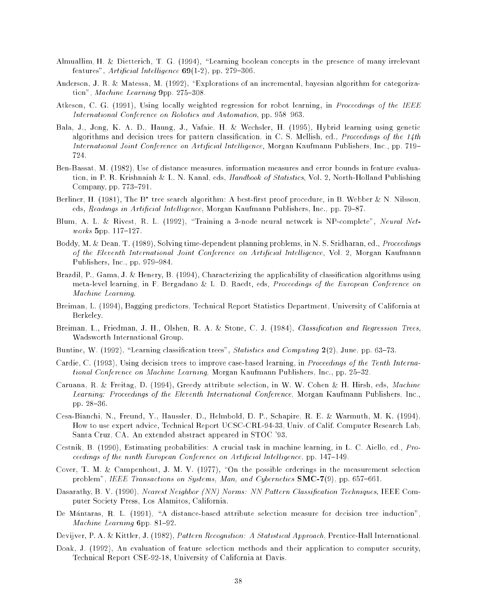- Almuallim, H. & Dietterich, T. G. (1994), "Learning boolean concepts in the presence of many irrelevant features", Artificial Intelligence  $69(1-2)$ , pp. 279-306.
- Anderson, J. R. & Matessa, M. (1992), "Explorations of an incremental, bayesian algorithm for categorization", Machine Learning  $9pp. 275-308$ .
- Atkeson, C. G. (1991), Using locally weighted regression for robot learning, in Proceedings of the IEEE International Conference on Robotics and Automation, pp. 958-963.
- Bala, J., Jong, K. A. D., Haung, J., Vafaie, H. & Wechsler, H. (1995), Hybrid learning using genetic algorithms and decision trees for pattern classification, in C. S. Mellish, ed., Proceedings of the  $14$ th International Joint Conference on Artificial Intelligence, Morgan Kaufmann Publishers, Inc., pp. 719-724.
- Ben-Bassat, M. (1982), Use of distance measures, information measures and error bounds in feature evaluation, in P. R. Krishnaiah & L. N. Kanal, eds, *Handbook of Statistics*, Vol. 2, North-Holland Publishing Company, pp. 773-791.
- Berliner, H. (1981), The B -tree search algorithm: A best-first proof procedure, in B. Webber & N. Nilsson, eds, Readings in Artificial Intelligence, Morgan Kaufmann Publishers, Inc., pp. 79-87.
- Blum, A. L. & Rivest, R. L. (1992), "Training a 3-node neural network is NP-complete", Neural Net $works$  5pp. 117-127.
- Boddy, M. & Dean, T. (1989), Solving time-dependent planning problems, in N. S. Sridharan, ed., Proceedings of the Eleventh International Joint Conference on Artificial Intelligence, Vol. 2, Morgan Kaufmann Publishers, Inc., pp. 979-984.
- Brazdil, P., Gama, J. & Henery, B. (1994), Characterizing the applicability of classification algorithms using meta-level learning, in F. Bergadano & L. D. Raedt, eds, Proceedings of the European Conference on Machine Learning.
- Breiman, L. (1994), Bagging predictors, Technical Report Statistics Department, University of California at Berkeley.
- Breiman, L., Friedman, J. H., Olshen, R. A. & Stone, C. J. (1984), Classification and Regression Trees, Wadsworth International Group.
- Buntine, W. (1992), "Learning classification trees", Statistics and Computing 2(2), June, pp. 63-73.
- Cardie, C. (1993), Using decision trees to improve case-based learning, in Proceedings of the Tenth International Conference on Machine Learning, Morgan Kaufmann Publishers, Inc., pp. 25-32.
- Caruana, R. & Freitag, D. (1994), Greedy attribute selection, in W. W. Cohen & H. Hirsh, eds, Machine Learning: Proceedings of the Eleventh International Conference, Morgan Kaufmann Publishers, Inc., pp. 28-36.
- Cesa-Bianchi, N., Freund, Y., Haussler, D., Helmbold, D. P., Schapire, R. E. & Warmuth, M. K. (1994), How to use expert advice, Technical Report UCSC-CRL-94-33, Univ. of Calif. Computer Research Lab, Santa Cruz, CA. An extended abstract appeared in STOC '93.
- Cestnik, B. (1990), Estimating probabilities: A crucial task in machine learning, in L. C. Aiello, ed., Proceedings of the ninth European Conference on Artificial Intelligence, pp. 147-149.
- Cover, T. M. & Campenhout, J. M. V.  $(1977)$ , "On the possible orderings in the measurement selection problem", IEEE Transactions on Systems, Man, and Cybernetics  $SMC-7(9)$ , pp. 657-661.
- Dasarathy, B. V. (1990), Nearest Neighbor (NN) Norms: NN Pattern Classification Techniques, IEEE Computer Society Press, Los Alamitos, California.
- De Mántaras, R. L. (1991), "A distance-based attribute selection measure for decision tree induction", Machine Learning 6pp. 81-92.
- Devijver, P. A. & Kittler, J. (1982), Pattern Recognition: A Statistical Approach, Prentice-Hall International.
- Doak, J. (1992), An evaluation of feature selection methods and their application to computer security, Technical Report CSE-92-18, University of California at Davis.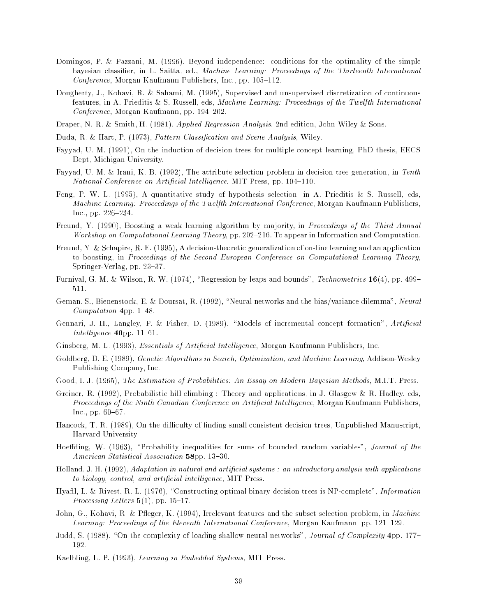- Domingos, P. & Pazzani, M. (1996), Beyond independence: conditions for the optimality of the simple bayesian classier, in L. Saitta, ed., Machine Learning: Proceedings of the Thirteenth International  $Conference$ , Morgan Kaufmann Publishers, Inc., pp. 105-112.
- Dougherty, J., Kohavi, R. & Sahami, M. (1995), Supervised and unsupervised discretization of continuous features, in A. Prieditis & S. Russell, eds, Machine Learning: Proceedings of the Twelfth International Conference, Morgan Kaufmann, pp. 194-202.
- Draper, N. R. & Smith, H. (1981), Applied Regression Analysis, 2nd edition, John Wiley & Sons.
- Duda, R. & Hart, P. (1973), Pattern Classification and Scene Analysis, Wiley.
- Fayyad, U. M. (1991), On the induction of decision trees for multiple concept learning, PhD thesis, EECS Dept, Michigan University.
- Fayyad, U. M. & Irani, K. B. (1992), The attribute selection problem in decision tree generation, in Tenth  $National Conference on Artificial Intelligence, MIT Press, pp. 104-110.$
- Fong, P. W. L. (1995), A quantitative study of hypothesis selection, in A. Prieditis & S. Russell, eds, Machine Learning: Proceedings of the Twelfth International Conference, Morgan Kaufmann Publishers, Inc., pp. 226-234.
- Freund, Y. (1990), Boosting a weak learning algorithm by majority, in Proceedings of the Third Annual Workshop on Computational Learning Theory, pp. 202-216. To appear in Information and Computation.
- Freund, Y. & Schapire, R. E. (1995), A decision-theoretic generalization of on-line learning and an application to boosting, in Proceedings of the Second European Conference on Computational Learning Theory, Springer-Verlag, pp.  $23-37$ .
- Furnival, G. M. & Wilson, R. W. (1974), "Regression by leaps and bounds", Technometrics  $16(4)$ , pp. 499– 511.
- Geman, S., Bienenstock, E. & Doursat, R. (1992), "Neural networks and the bias/variance dilemma", Neural  $Computation$  4pp. 1-48.
- Gennari, J. H., Langley, P. & Fisher, D. (1989), "Models of incremental concept formation", Artificial  $Intelligence 40pp. 11–61.$
- Ginsberg, M. L. (1993), *Essentials of Artificial Intelligence*, Morgan Kaufmann Publishers, Inc.
- Goldberg, D. E. (1989), Genetic Algorithms in Search, Optimization, and Machine Learning, Addison-Wesley Publishing Company, Inc.
- Good, I. J. (1965), The Estimation of Probabilities: An Essay on Modern Bayesian Methods, M.I.T. Press.
- Greiner, R. (1992), Probabilistic hill climbing : Theory and applications, in J. Glasgow & R. Hadley, eds, Proceedings of the Ninth Canadian Conference on Artificial Intelligence, Morgan Kaufmann Publishers, Inc., pp.  $60-67$ .
- Hancock, T. R. (1989). On the difficulty of finding small consistent decision trees, Unpublished Manuscript, Harvard University.
- Hoeffding, W.  $(1963)$ , "Probability inequalities for sums of bounded random variables", Journal of the American Statistical Association 58pp. 13-30.
- Holland, J. H. (1992), Adaptation in natural and artificial systems : an introductory analysis with applications to biology, control, and artificial intelligence, MIT Press.
- Hyafil, L. & Rivest, R. L. (1976), "Constructing optimal binary decision trees is NP-complete", Information *Processing Letters*  $\mathbf{5}(1)$ , pp. 15-17.
- John, G., Kohavi, R. & Pfleger, K. (1994), Irrelevant features and the subset selection problem, in Machine Learning: Proceedings of the Eleventh International Conference, Morgan Kaufmann, pp. 121-129.
- Judd, S. (1988), "On the complexity of loading shallow neural networks", Journal of Complexity 4pp. 177–
- Kaelbling, L. P. (1993), Learning in Embedded Systems, MIT Press.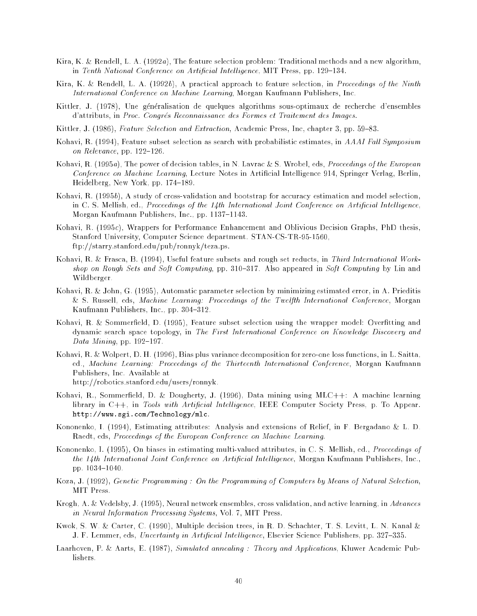- Kira, K. & Rendell, L. A. (1992a), The feature selection problem: Traditional methods and a new algorithm, in Tenth National Conference on Artificial Intelligence, MIT Press, pp.  $129-134$ .
- Kira, K. & Rendell, L. A. (1992b), A practical approach to feature selection, in *Proceedings of the Ninth* International Conference on Machine Learning, Morgan Kaufmann Publishers, Inc.
- Kittler, J. (1978), Une généralisation de quelques algorithms sous-optimaux de recherche d'ensembles d'attributs, in Proc. Congrés Reconnaissance des Formes et Traitement des Images.
- Kittler, J. (1986), Feature Selection and Extraction, Academic Press, Inc, chapter 3, pp. 59–83.
- Kohavi, R. (1994), Feature subset selection as search with probabilistic estimates, in AAAI Fall Symposium on Relevance, pp.  $122-126$ .
- Kohavi, R. (1995a), The power of decision tables, in N. Lavrac & S. Wrobel, eds, Proceedings of the European Conference on Machine Learning, Lecture Notes in Artificial Intelligence 914, Springer Verlag, Berlin, Heidelberg, New York, pp. 174-189.
- Kohavi, R. (1995b), A study of cross-validation and bootstrap for accuracy estimation and model selection, in C. S. Mellish, ed., Proceedings of the 14th International Joint Conference on Artificial Intelligence, Morgan Kaufmann Publishers, Inc., pp. 1137-1143.
- Kohavi, R. (1995c), Wrappers for Performance Enhancement and Oblivious Decision Graphs, PhD thesis, Stanford University, Computer Science department. STAN-CS-TR-95-1560, ftp://starry.stanford.edu/pub/ronnyk/teza.ps.
- Kohavi, R. & Frasca, B. (1994), Useful feature subsets and rough set reducts, in Third International Workshop on Rough Sets and Soft Computing, pp. 310-317. Also appeared in Soft Computing by Lin and Wildberger.
- Kohavi, R. & John, G. (1995), Automatic parameter selection by minimizing estimated error, in A. Prieditis & S. Russell, eds, Machine Learning: Proceedings of the Twelfth International Conference, Morgan Kaufmann Publishers, Inc., pp. 304-312.
- Kohavi, R. & Sommerfield, D. (1995), Feature subset selection using the wrapper model: Overfitting and dynamic search space topology, in The First International Conference on Knowledge Discovery and Data Mining, pp.  $192-197$ .
- Kohavi, R. & Wolpert, D. H. (1996), Bias plus variance decomposition for zero-one loss functions, in L. Saitta, ed., Machine Learning: Proceedings of the Thirteenth International Conference, Morgan Kaufmann Publishers, Inc. Available at http://robotics.stanford.edu/users/ronnyk.
- Kohavi, R., Sommerfield, D. & Dougherty, J. (1996), Data mining using MLC++: A machine learning library in  $C_{++}$ , in Tools with Artificial Intelligence, IEEE Computer Society Press, p. To Appear. http://www.sgi.com/Technology/mlc.
- Kononenko, I. (1994), Estimating attributes: Analysis and extensions of Relief, in F. Bergadano & L. D. Raedt, eds, Proceedings of the European Conference on Machine Learning.
- Kononenko, I. (1995), On biases in estimating multi-valued attributes, in C. S. Mellish, ed., Proceedings of the  $14$ th International Joint Conference on Artificial Intelligence, Morgan Kaufmann Publishers, Inc., pp. 1034-1040.
- Koza, J. (1992), Genetic Programming : On the Programming of Computers by Means of Natural Selection, MIT Press.
- Krogh, A. & Vedelsby, J. (1995), Neural network ensembles, cross validation, and active learning, in Advances in Neural Information Processing Systems, Vol. 7, MIT Press.
- Kwok, S. W. & Carter, C. (1990), Multiple decision trees, in R. D. Schachter, T. S. Levitt, L. N. Kanal & J. F. Lemmer, eds, Uncertainty in Artificial Intelligence, Elsevier Science Publishers, pp. 327-335.
- Laarhoven, P. & Aarts, E. (1987), Simulated annealing : Theory and Applications, Kluwer Academic Pub-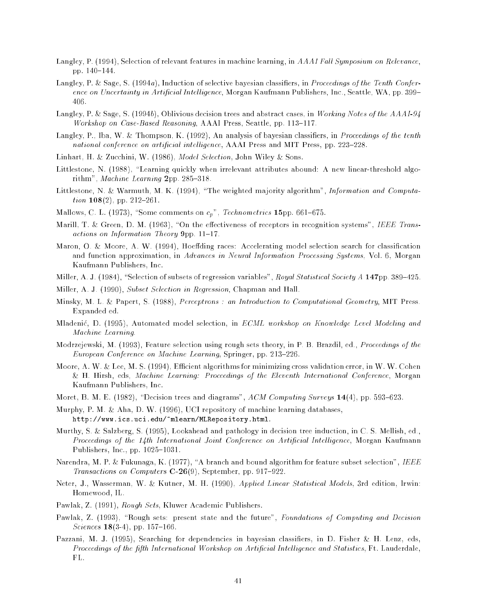- Langley, P. (1994), Selection of relevant features in machine learning, in AAAI Fall Symposium on Relevance, pp. 140-144.
- Langley, P. & Sage, S. (1994a), Induction of selective bayesian classifiers, in Proceedings of the Tenth Conference on Uncertainty in Artificial Intelligence, Morgan Kaufmann Publishers, Inc., Seattle, WA, pp. 399– 406.
- Langley, P. & Sage, S. (1994b), Oblivious decision trees and abstract cases, in Working Notes of the AAAI-94 Workshop on Case-Based Reasoning, AAAI Press, Seattle, pp.  $113–117$ .
- Langley, P., Iba, W. & Thompson, K. (1992), An analysis of bayesian classifiers, in Proceedings of the tenth national conference on artificial intelligence, AAAI Press and MIT Press, pp. 223-228.
- Linhart, H. & Zucchini, W. (1986), Model Selection, John Wiley & Sons.
- Littlestone, N. (1988), "Learning quickly when irrelevant attributes abound: A new linear-threshold algorithm", Machine Learning  $2pp. 285-318$ .
- Littlestone, N. & Warmuth, M. K. (1994), "The weighted majority algorithm", Information and Computation  $108(2)$ , pp.  $212-261$ .
- Mallows, C. L. (1973), "Some comments on  $c_p$ ", Technometrics 15pp. 661-675.
- Marill, T. & Green, D. M. (1963), "On the effectiveness of receptors in recognition systems", IEEE Trans $actions on Information Theory 9pp. 11-17.$
- Maron, O. & Moore, A. W. (1994), Hoeffding races: Accelerating model selection search for classification and function approximation, in Advances in Neural Information Processing Systems, Vol. 6, Morgan Kaufmann Publishers, Inc.
- Miller, A. J. (1984), "Selection of subsets of regression variables", Royal Statistical Society A 147pp. 389-425.
- Miller, A. J. (1990), Subset Selection in Regression, Chapman and Hall.
- Minsky, M. L. & Papert, S. (1988), Perceptrons : an Introduction to Computational Geometry, MIT Press. Expanded ed.
- Mladenić, D. (1995), Automated model selection, in ECML workshop on Knowledge Level Modeling and Machine Learning.
- Modrzejewski, M. (1993), Feature selection using rough sets theory, in P. B. Brazdil, ed., Proceedings of the European Conference on Machine Learning, Springer, pp. 213-226.
- Moore, A. W. & Lee, M. S. (1994), Efficient algorithms for minimizing cross validation error, in W. W. Cohen & H. Hirsh, eds, Machine Learning: Proceedings of the Eleventh International Conference, Morgan Kaufmann Publishers, Inc.
- Moret, B. M. E. (1982), "Decision trees and diagrams",  $ACM$  Computing Surveys 14(4), pp. 593-623.
- Murphy, P. M. & Aha, D. W. (1996), UCI repository of machine learning databases, http://www.ics.uci.edu/~mlearn/MLRepository.html.
- Murthy, S. & Salzberg, S. (1995), Lookahead and pathology in decision tree induction, in C. S. Mellish, ed., Proceedings of the 14th International Joint Conference on Artificial Intelligence, Morgan Kaufmann Publishers, Inc., pp. 1025-1031.
- Narendra, M. P. & Fukunaga, K. (1977), "A branch and bound algorithm for feature subset selection", IEEE Transactions on Computers  $C-26(9)$ , September, pp. 917-922.
- Neter, J., Wasserman, W. & Kutner, M. H. (1990), Applied Linear Statistical Models, 3rd edition, Irwin: Homewood, IL.
- Pawlak, Z. (1991), Rough Sets, Kluwer Academic Publishers.
- Pawlak, Z. (1993), "Rough sets: present state and the future", Foundations of Computing and Decision Sciences  $18(3-4)$ , pp. 157-166.
- Pazzani, M. J. (1995), Searching for dependencies in bayesian classifiers, in D. Fisher & H. Lenz, eds, Proceedings of the fifth International Workshop on Artificial Intelligence and Statistics, Ft. Lauderdale, FL.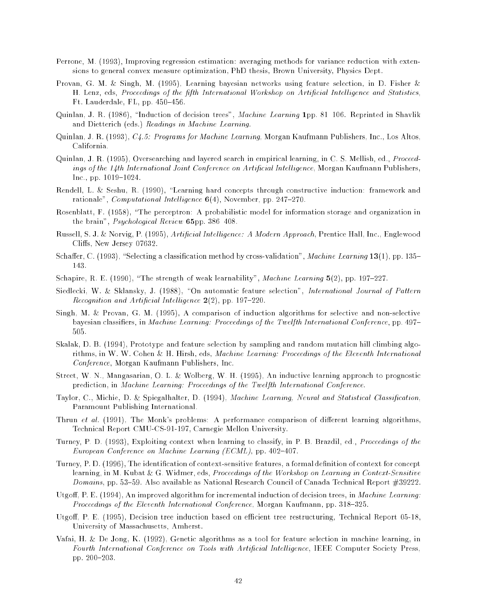- Perrone, M. (1993), Improving regression estimation: averaging methods for variance reduction with extensions to general convex measure optimization, PhD thesis, Brown University, Physics Dept.
- Provan, G. M. & Singh, M. (1995), Learning bayesian networks using feature selection, in D. Fisher & H. Lenz, eds, Proceedings of the fifth International Workshop on Artificial Intelligence and Statistics, Ft. Lauderdale, FL, pp. 450-456.
- Quinlan, J. R. (1986), "Induction of decision trees", Machine Learning 1pp. 81-106. Reprinted in Shavlik and Dietterich (eds.) Readings in Machine Learning.
- Quinlan, J. R. (1993), C4.5: Programs for Machine Learning, Morgan Kaufmann Publishers, Inc., Los Altos, California.
- Quinlan, J. R. (1995), Oversearching and layered search in empirical learning, in C. S. Mellish, ed., Proceedings of the 14th International Joint Conference on Artificial Intelligence, Morgan Kaufmann Publishers, Inc., pp.  $1019-1024$ .
- Rendell, L. & Seshu, R. (1990), "Learning hard concepts through constructive induction: framework and rationale", *Computational Intelligence*  $6(4)$ , November, pp. 247-270.
- Rosenblatt, F. (1958), "The perceptron: A probabilistic model for information storage and organization in the brain",  $Psychological Review 65pp. 386-408.$
- Russell, S. J. & Norvig, P. (1995), *Artificial Intelligence: A Modern Approach*, Prentice Hall, Inc., Englewood Cliffs, New Jersey 07632.
- Schaffer, C. (1993), "Selecting a classification method by cross-validation", Machine Learning  $13(1)$ , pp. 135-143.
- Schapire, R. E. (1990), "The strength of weak learnability", Machine Learning  $5(2)$ , pp. 197-227.
- Siedlecki, W. & Sklansky, J. (1988), "On automatic feature selection", International Journal of Pattern Recognition and Artificial Intelligence  $2(2)$ , pp. 197-220.
- Singh, M. & Provan, G. M. (1995), A comparison of induction algorithms for selective and non-selective bayesian classifiers, in Machine Learning: Proceedings of the Twelfth International Conference, pp. 497-505.
- Skalak, D. B. (1994), Prototype and feature selection by sampling and random mutation hill climbing algorithms, in W. W. Cohen & H. Hirsh, eds, Machine Learning: Proceedings of the Eleventh International Conference, Morgan Kaufmann Publishers, Inc.
- Street, W. N., Mangasarian, O. L. & Wolberg, W. H. (1995), An inductive learning approach to prognostic prediction, in Machine Learning: Proceedings of the Twelfth International Conference.
- Taylor, C., Michie, D. & Spiegalhalter, D. (1994), Machine Learning, Neural and Statistical Classification, Paramount Publishing International.
- Thrun et al. (1991), The Monk's problems: A performance comparison of different learning algorithms, Technical Report CMU-CS-91-197, Carnegie Mellon University.
- Turney, P. D. (1993), Exploiting context when learning to classify, in P. B. Brazdil, ed., Proceedings of the European Conference on Machine Learning (ECML), pp. 402-407.
- Turney, P. D. (1996), The identification of context-sensitive features, a formal definition of context for concept learning, in M. Kubat & G. Widmer, eds, Proceedings of the Workshop on Learning in Context-Sensitive Domains, pp. 53-59. Also available as National Research Council of Canada Technical Report #39222.
- Utgoff, P. E. (1994), An improved algorithm for incremental induction of decision trees, in *Machine Learning:* Proceedings of the Eleventh International Conference, Morgan Kaufmann, pp. 318-325.
- Utgoff, P. E. (1995), Decision tree induction based on efficient tree restructuring, Technical Report 05-18, University of Massachusetts, Amherst.
- Vafai, H. & De Jong, K. (1992), Genetic algorithms as a tool for feature selection in machine learning, in Fourth International Conference on Tools with Artificial Intelligence, IEEE Computer Society Press, pp. 200-203.